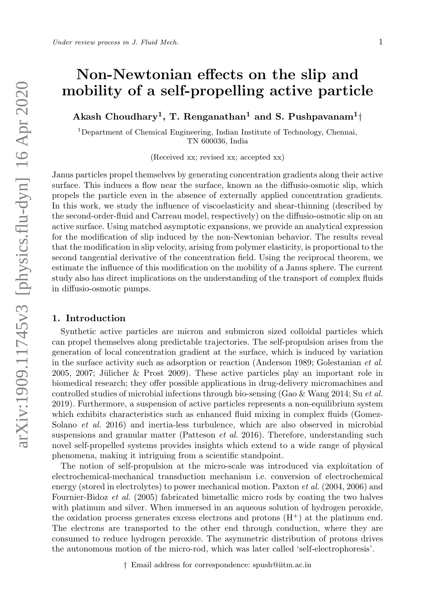# Non-Newtonian effects on the slip and mobility of a self-propelling active particle

Akash Choudhary<sup>1</sup>, T. Renganathan<sup>1</sup> and S. Pushpavanam<sup>1</sup>†

<sup>1</sup>Department of Chemical Engineering, Indian Institute of Technology, Chennai, TN 600036, India

(Received xx; revised xx; accepted xx)

Janus particles propel themselves by generating concentration gradients along their active surface. This induces a flow near the surface, known as the diffusio-osmotic slip, which propels the particle even in the absence of externally applied concentration gradients. In this work, we study the influence of viscoelasticity and shear-thinning (described by the second-order-fluid and Carreau model, respectively) on the diffusio-osmotic slip on an active surface. Using matched asymptotic expansions, we provide an analytical expression for the modification of slip induced by the non-Newtonian behavior. The results reveal that the modification in slip velocity, arising from polymer elasticity, is proportional to the second tangential derivative of the concentration field. Using the reciprocal theorem, we estimate the influence of this modification on the mobility of a Janus sphere. The current study also has direct implications on the understanding of the transport of complex fluids in diffusio-osmotic pumps.

## 1. Introduction

Synthetic active particles are micron and submicron sized colloidal particles which can propel themselves along predictable trajectories. The self-propulsion arises from the generation of local concentration gradient at the surface, which is induced by variation in the surface activity such as adsorption or reaction (Anderson 1989; Golestanian et al. 2005, 2007; Jülicher & Prost 2009). These active particles play an important role in biomedical research; they offer possible applications in drug-delivery micromachines and controlled studies of microbial infections through bio-sensing (Gao & Wang 2014; Su et al. 2019). Furthermore, a suspension of active particles represents a non-equilibrium system which exhibits characteristics such as enhanced fluid mixing in complex fluids (Gomez-Solano *et al.* 2016) and inertia-less turbulence, which are also observed in microbial suspensions and granular matter (Patteson *et al.* 2016). Therefore, understanding such novel self-propelled systems provides insights which extend to a wide range of physical phenomena, making it intriguing from a scientific standpoint.

The notion of self-propulsion at the micro-scale was introduced via exploitation of electrochemical-mechanical transduction mechanism i.e. conversion of electrochemical energy (stored in electrolytes) to power mechanical motion. Paxton et al. (2004, 2006) and Fournier-Bidoz et al. (2005) fabricated bimetallic micro rods by coating the two halves with platinum and silver. When immersed in an aqueous solution of hydrogen peroxide, the oxidation process generates excess electrons and protons  $(H<sup>+</sup>)$  at the platinum end. The electrons are transported to the other end through conduction, where they are consumed to reduce hydrogen peroxide. The asymmetric distribution of protons drives the autonomous motion of the micro-rod, which was later called 'self-electrophoresis'.

† Email address for correspondence: spush@iitm.ac.in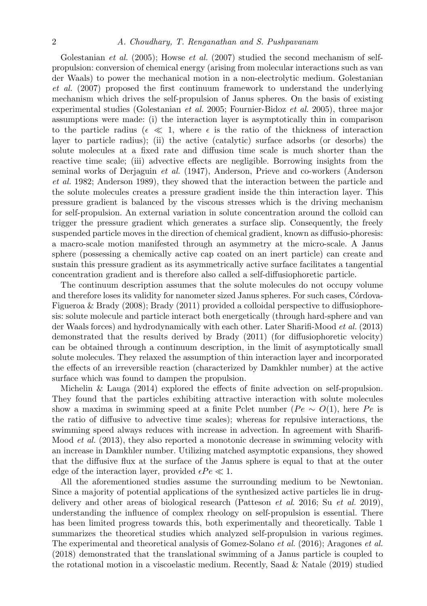## 2 A. Choudhary, T. Renganathan and S. Pushpavanam

Golestanian *et al.* (2005); Howse *et al.* (2007) studied the second mechanism of selfpropulsion: conversion of chemical energy (arising from molecular interactions such as van der Waals) to power the mechanical motion in a non-electrolytic medium. Golestanian et al. (2007) proposed the first continuum framework to understand the underlying mechanism which drives the self-propulsion of Janus spheres. On the basis of existing experimental studies (Golestanian et al. 2005; Fournier-Bidoz et al. 2005), three major assumptions were made: (i) the interaction layer is asymptotically thin in comparison to the particle radius ( $\epsilon \ll 1$ , where  $\epsilon$  is the ratio of the thickness of interaction layer to particle radius); (ii) the active (catalytic) surface adsorbs (or desorbs) the solute molecules at a fixed rate and diffusion time scale is much shorter than the reactive time scale; (iii) advective effects are negligible. Borrowing insights from the seminal works of Derjaguin et al. (1947), Anderson, Prieve and co-workers (Anderson et al. 1982; Anderson 1989), they showed that the interaction between the particle and the solute molecules creates a pressure gradient inside the thin interaction layer. This pressure gradient is balanced by the viscous stresses which is the driving mechanism for self-propulsion. An external variation in solute concentration around the colloid can trigger the pressure gradient which generates a surface slip. Consequently, the freely suspended particle moves in the direction of chemical gradient, known as diffusio-phoresis: a macro-scale motion manifested through an asymmetry at the micro-scale. A Janus sphere (possessing a chemically active cap coated on an inert particle) can create and sustain this pressure gradient as its asymmetrically active surface facilitates a tangential concentration gradient and is therefore also called a self-diffusiophoretic particle.

The continuum description assumes that the solute molecules do not occupy volume and therefore loses its validity for nanometer sized Janus spheres. For such cases, Córdova-Figueroa & Brady (2008); Brady (2011) provided a colloidal perspective to diffusiophoresis: solute molecule and particle interact both energetically (through hard-sphere and van der Waals forces) and hydrodynamically with each other. Later Sharifi-Mood et al. (2013) demonstrated that the results derived by Brady (2011) (for diffusiophoretic velocity) can be obtained through a continuum description, in the limit of asymptotically small solute molecules. They relaxed the assumption of thin interaction layer and incorporated the effects of an irreversible reaction (characterized by Damkhler number) at the active surface which was found to dampen the propulsion.

Michelin & Lauga (2014) explored the effects of finite advection on self-propulsion. They found that the particles exhibiting attractive interaction with solute molecules show a maxima in swimming speed at a finite Pclet number ( $Pe \sim O(1)$ , here Pe is the ratio of diffusive to advective time scales); whereas for repulsive interactions, the swimming speed always reduces with increase in advection. In agreement with Sharifi-Mood et al. (2013), they also reported a monotonic decrease in swimming velocity with an increase in Damkhler number. Utilizing matched asymptotic expansions, they showed that the diffusive flux at the surface of the Janus sphere is equal to that at the outer edge of the interaction layer, provided  $\epsilon Pe \ll 1$ .

All the aforementioned studies assume the surrounding medium to be Newtonian. Since a majority of potential applications of the synthesized active particles lie in drugdelivery and other areas of biological research (Patteson et al. 2016; Su et al. 2019), understanding the influence of complex rheology on self-propulsion is essential. There has been limited progress towards this, both experimentally and theoretically. Table 1 summarizes the theoretical studies which analyzed self-propulsion in various regimes. The experimental and theoretical analysis of Gomez-Solano et al. (2016); Aragones et al. (2018) demonstrated that the translational swimming of a Janus particle is coupled to the rotational motion in a viscoelastic medium. Recently, Saad & Natale (2019) studied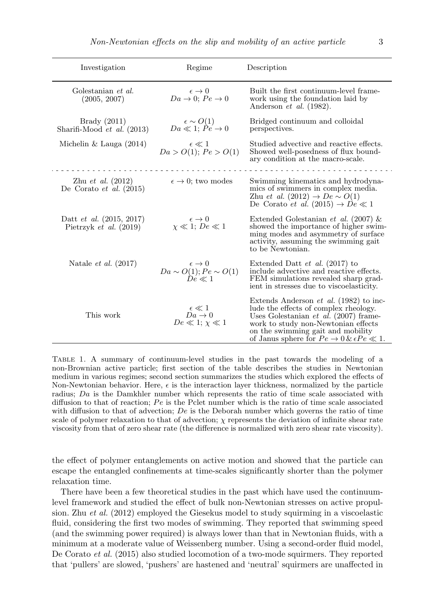| Investigation                                                 | Regime                                                                             | Description                                                                                                                                                                                                                                                                   |
|---------------------------------------------------------------|------------------------------------------------------------------------------------|-------------------------------------------------------------------------------------------------------------------------------------------------------------------------------------------------------------------------------------------------------------------------------|
| Golestanian et al.<br>(2005, 2007)                            | $\epsilon \rightarrow 0$<br>$Da \rightarrow 0$ ; $Pe \rightarrow 0$                | Built the first continuum-level frame-<br>work using the foundation laid by<br>Anderson <i>et al.</i> $(1982)$ .                                                                                                                                                              |
| Brady $(2011)$<br>Sharifi-Mood $et \ al. (2013)$              | $ba \ll 1; Pe \rightarrow 0$<br>$Da \ll 1; Pe \rightarrow 0$                       | Bridged continuum and colloidal<br>perspectives.                                                                                                                                                                                                                              |
| Michelin & Lauga $(2014)$                                     | $\epsilon \ll 1$<br>$Da > O(1)$ ; $Pe > O(1)$                                      | Studied advective and reactive effects.<br>Showed well-posedness of flux bound-<br>ary condition at the macro-scale.                                                                                                                                                          |
| $Zhu \, et \, al. (2012)$<br>De Corato et al. $(2015)$        | $\epsilon \rightarrow 0$ ; two modes                                               | Swimming kinematics and hydrodyna-<br>mics of swimmers in complex media.<br>Zhu <i>et al.</i> (2012) $\rightarrow De \sim O(1)$<br>De Corato et al. $(2015) \rightarrow De \ll 1$                                                                                             |
| Datt <i>et al.</i> $(2015, 2017)$<br>Pietrzyk et al. $(2019)$ | $\epsilon \rightarrow 0$<br>$\chi \ll 1$ ; $De \ll 1$                              | Extended Golestanian et al. (2007) &<br>showed the importance of higher swim-<br>ming modes and asymmetry of surface<br>activity, assuming the swimming gait<br>to be Newtonian.                                                                                              |
| Natale <i>et al.</i> $(2017)$                                 | $\epsilon \rightarrow 0$<br>$Da \sim O(1); \widetilde{Pe} \sim O(1)$<br>$De \ll 1$ | Extended Datt <i>et al.</i> $(2017)$ to<br>include advective and reactive effects.<br>FEM simulations revealed sharp grad-<br>ient in stresses due to viscoelasticity.                                                                                                        |
| This work                                                     | $\epsilon \ll 1$<br>$Da \rightarrow 0$<br>$De \ll 1$ ; $\chi \ll 1$                | Extends Anderson <i>et al.</i> (1982) to inc-<br>lude the effects of complex rheology.<br>Uses Golestanian <i>et al.</i> $(2007)$ frame-<br>work to study non-Newtonian effects<br>on the swimming gait and mobility<br>of Janus sphere for $Pe \to 0 \& \epsilon Pe \ll 1$ . |

Table 1. A summary of continuum-level studies in the past towards the modeling of a non-Brownian active particle; first section of the table describes the studies in Newtonian medium in various regimes; second section summarizes the studies which explored the effects of Non-Newtonian behavior. Here,  $\epsilon$  is the interaction layer thickness, normalized by the particle radius; Da is the Damkhler number which represents the ratio of time scale associated with diffusion to that of reaction;  $Pe$  is the Pclet number which is the ratio of time scale associated with diffusion to that of advection;  $De$  is the Deborah number which governs the ratio of time scale of polymer relaxation to that of advection;  $\chi$  represents the deviation of infinite shear rate viscosity from that of zero shear rate (the difference is normalized with zero shear rate viscosity).

the effect of polymer entanglements on active motion and showed that the particle can escape the entangled confinements at time-scales significantly shorter than the polymer relaxation time.

There have been a few theoretical studies in the past which have used the continuumlevel framework and studied the effect of bulk non-Newtonian stresses on active propulsion. Zhu et al. (2012) employed the Giesekus model to study squirming in a viscoelastic fluid, considering the first two modes of swimming. They reported that swimming speed (and the swimming power required) is always lower than that in Newtonian fluids, with a minimum at a moderate value of Weissenberg number. Using a second-order fluid model, De Corato et al. (2015) also studied locomotion of a two-mode squirmers. They reported that 'pullers' are slowed, 'pushers' are hastened and 'neutral' squirmers are unaffected in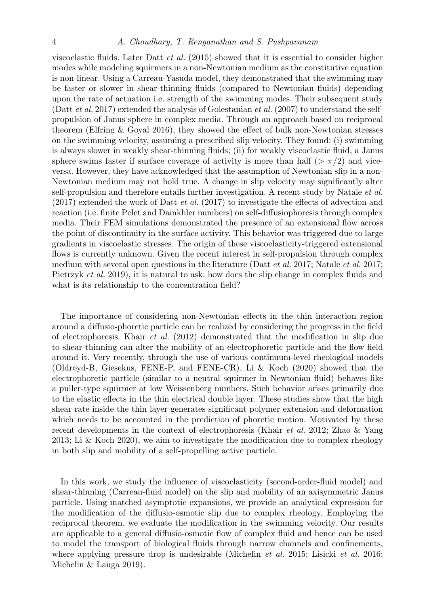## 4 A. Choudhary, T. Renganathan and S. Pushpavanam

viscoelastic fluids. Later Datt et al. (2015) showed that it is essential to consider higher modes while modeling squirmers in a non-Newtonian medium as the constitutive equation is non-linear. Using a Carreau-Yasuda model, they demonstrated that the swimming may be faster or slower in shear-thinning fluids (compared to Newtonian fluids) depending upon the rate of actuation i.e. strength of the swimming modes. Their subsequent study (Datt *et al.* 2017) extended the analysis of Golestanian *et al.* (2007) to understand the selfpropulsion of Janus sphere in complex media. Through an approach based on reciprocal theorem (Elfring & Goyal 2016), they showed the effect of bulk non-Newtonian stresses on the swimming velocity, assuming a prescribed slip velocity. They found: (i) swimming is always slower in weakly shear-thinning fluids; (ii) for weakly viscoelastic fluid, a Janus sphere swims faster if surface coverage of activity is more than half ( $>\pi/2$ ) and viceversa. However, they have acknowledged that the assumption of Newtonian slip in a non-Newtonian medium may not hold true. A change in slip velocity may significantly alter self-propulsion and therefore entails further investigation. A recent study by Natale et al. (2017) extended the work of Datt et al. (2017) to investigate the effects of advection and reaction (i.e. finite Pclet and Damkhler numbers) on self-diffusiophoresis through complex media. Their FEM simulations demonstrated the presence of an extensional flow across the point of discontinuity in the surface activity. This behavior was triggered due to large gradients in viscoelastic stresses. The origin of these viscoelasticity-triggered extensional flows is currently unknown. Given the recent interest in self-propulsion through complex medium with several open questions in the literature (Datt *et al.* 2017; Natale *et al.* 2017; Pietrzyk et al. 2019), it is natural to ask: how does the slip change in complex fluids and what is its relationship to the concentration field?

The importance of considering non-Newtonian effects in the thin interaction region around a diffusio-phoretic particle can be realized by considering the progress in the field of electrophoresis. Khair *et al.* (2012) demonstrated that the modification in slip due to shear-thinning can alter the mobility of an electrophoretic particle and the flow field around it. Very recently, through the use of various continuum-level rheological models (Oldroyd-B, Giesekus, FENE-P, and FENE-CR), Li & Koch (2020) showed that the electrophoretic particle (similar to a neutral squirmer in Newtonian fluid) behaves like a puller-type squirmer at low Weissenberg numbers. Such behavior arises primarily due to the elastic effects in the thin electrical double layer. These studies show that the high shear rate inside the thin layer generates significant polymer extension and deformation which needs to be accounted in the prediction of phoretic motion. Motivated by these recent developments in the context of electrophoresis (Khair *et al.* 2012; Zhao & Yang 2013; Li & Koch 2020), we aim to investigate the modification due to complex rheology in both slip and mobility of a self-propelling active particle.

In this work, we study the influence of viscoelasticity (second-order-fluid model) and shear-thinning (Carreau-fluid model) on the slip and mobility of an axisymmetric Janus particle. Using matched asymptotic expansions, we provide an analytical expression for the modification of the diffusio-osmotic slip due to complex rheology. Employing the reciprocal theorem, we evaluate the modification in the swimming velocity. Our results are applicable to a general diffusio-osmotic flow of complex fluid and hence can be used to model the transport of biological fluids through narrow channels and confinements, where applying pressure drop is undesirable (Michelin *et al.* 2015; Lisicki *et al.* 2016; Michelin & Lauga 2019).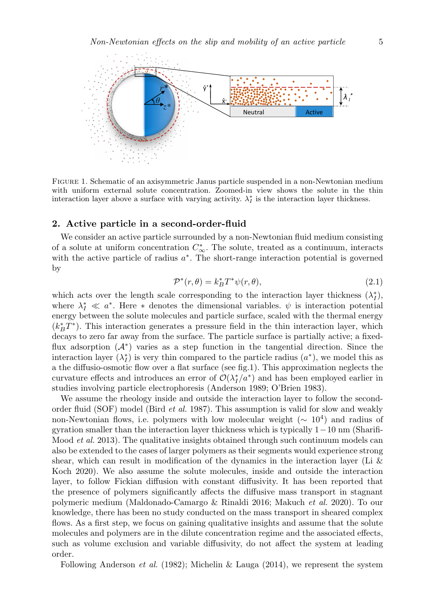

Figure 1. Schematic of an axisymmetric Janus particle suspended in a non-Newtonian medium with uniform external solute concentration. Zoomed-in view shows the solute in the thin interaction layer above a surface with varying activity.  $\lambda_I^*$  is the interaction layer thickness.

## 2. Active particle in a second-order-fluid

We consider an active particle surrounded by a non-Newtonian fluid medium consisting of a solute at uniform concentration  $C^*_{\infty}$ . The solute, treated as a continuum, interacts with the active particle of radius  $a^*$ . The short-range interaction potential is governed by

$$
\mathcal{P}^*(r,\theta) = k_B^* T^* \psi(r,\theta),\tag{2.1}
$$

which acts over the length scale corresponding to the interaction layer thickness  $(\lambda_I^*)$ , where  $\lambda_I^* \ll a^*$ . Here \* denotes the dimensional variables.  $\psi$  is interaction potential energy between the solute molecules and particle surface, scaled with the thermal energy  $(k_B^*T^*)$ . This interaction generates a pressure field in the thin interaction layer, which decays to zero far away from the surface. The particle surface is partially active; a fixedflux adsorption (A<sup>∗</sup> ) varies as a step function in the tangential direction. Since the interaction layer  $(\lambda_I^*)$  is very thin compared to the particle radius  $(a^*)$ , we model this as a the diffusio-osmotic flow over a flat surface (see fig.1). This approximation neglects the curvature effects and introduces an error of  $\mathcal{O}(\lambda_I^*/a^*)$  and has been employed earlier in studies involving particle electrophoresis (Anderson 1989; O'Brien 1983).

We assume the rheology inside and outside the interaction layer to follow the secondorder fluid (SOF) model (Bird et al. 1987). This assumption is valid for slow and weakly non-Newtonian flows, i.e. polymers with low molecular weight  $(\sim 10^4)$  and radius of gyration smaller than the interaction layer thickness which is typically 1−10 nm (Sharifi-Mood *et al.* 2013). The qualitative insights obtained through such continuum models can also be extended to the cases of larger polymers as their segments would experience strong shear, which can result in modification of the dynamics in the interaction layer (Li  $\&$ Koch 2020). We also assume the solute molecules, inside and outside the interaction layer, to follow Fickian diffusion with constant diffusivity. It has been reported that the presence of polymers significantly affects the diffusive mass transport in stagnant polymeric medium (Maldonado-Camargo & Rinaldi 2016; Makuch et al. 2020). To our knowledge, there has been no study conducted on the mass transport in sheared complex flows. As a first step, we focus on gaining qualitative insights and assume that the solute molecules and polymers are in the dilute concentration regime and the associated effects, such as volume exclusion and variable diffusivity, do not affect the system at leading order.

Following Anderson et al. (1982); Michelin & Lauga (2014), we represent the system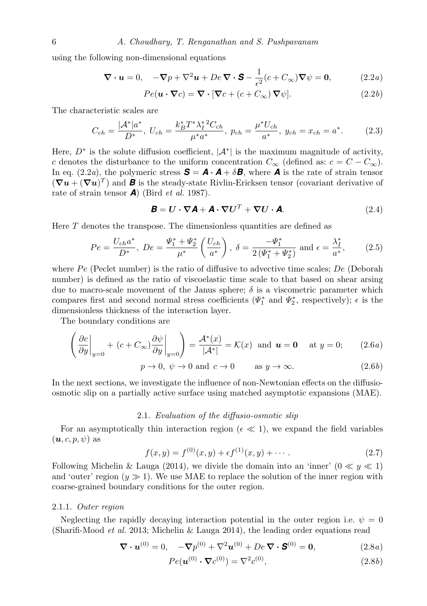using the following non-dimensional equations

$$
\nabla \cdot \mathbf{u} = 0, \quad -\nabla p + \nabla^2 \mathbf{u} + De \, \nabla \cdot \mathbf{S} - \frac{1}{\epsilon^2} (c + C_{\infty}) \nabla \psi = \mathbf{0}, \tag{2.2a}
$$

$$
Pe(\mathbf{u} \cdot \nabla c) = \nabla \cdot [\nabla c + (c + C_{\infty}) \nabla \psi].
$$
 (2.2*b*)

The characteristic scales are

$$
C_{ch} = \frac{|\mathcal{A}^*|a^*}{D^*}, \ U_{ch} = \frac{k_B^* T^* \lambda_I^{*2} C_{ch}}{\mu^* a^*}, \ p_{ch} = \frac{\mu^* U_{ch}}{a^*}, \ y_{ch} = x_{ch} = a^*.
$$
 (2.3)

Here,  $D^*$  is the solute diffusion coefficient,  $|\mathcal{A}^*|$  is the maximum magnitude of activity, c denotes the disturbance to the uniform concentration  $C_{\infty}$  (defined as:  $c = C - C_{\infty}$ ). In eq. (2.2*a*), the polymeric stress  $\mathbf{S} = \mathbf{A} \cdot \mathbf{A} + \delta \mathbf{B}$ , where **A** is the rate of strain tensor  $(\nabla u + (\nabla u)^T)$  and **B** is the steady-state Rivlin-Ericksen tensor (covariant derivative of rate of strain tensor **A**) (Bird *et al.* 1987).

$$
\mathbf{B} = \mathbf{U} \cdot \nabla \mathbf{A} + \mathbf{A} \cdot \nabla \mathbf{U}^T + \nabla \mathbf{U} \cdot \mathbf{A}.
$$
 (2.4)

Here  $T$  denotes the transpose. The dimensionless quantities are defined as

$$
Pe = \frac{U_{ch}a^*}{D^*}, \ De = \frac{\Psi_1^* + \Psi_2^*}{\mu^*} \left(\frac{U_{ch}}{a^*}\right), \ \delta = \frac{-\Psi_1^*}{2(\Psi_1^* + \Psi_2^*)} \text{ and } \epsilon = \frac{\lambda_1^*}{a^*},\tag{2.5}
$$

where  $Pe$  (Peclet number) is the ratio of diffusive to advective time scales; De (Deborah number) is defined as the ratio of viscoelastic time scale to that based on shear arsing due to macro-scale movement of the Janus sphere;  $\delta$  is a viscometric parameter which compares first and second normal stress coefficients ( $\Psi_1^*$  and  $\Psi_2^*$ , respectively);  $\epsilon$  is the dimensionless thickness of the interaction layer.

The boundary conditions are

$$
\left(\frac{\partial c}{\partial y}\Big|_{y=0} + (c + C_{\infty})\frac{\partial \psi}{\partial y}\Big|_{y=0}\right) = \frac{\mathcal{A}^*(x)}{|\mathcal{A}^*|} = \mathcal{K}(x) \text{ and } \mathbf{u} = \mathbf{0} \text{ at } y = 0; \qquad (2.6a)
$$

$$
p \to 0, \ \psi \to 0 \text{ and } c \to 0 \qquad \text{as } y \to \infty. \tag{2.6b}
$$

In the next sections, we investigate the influence of non-Newtonian effects on the diffusioosmotic slip on a partially active surface using matched asymptotic expansions (MAE).

# 2.1. Evaluation of the diffusio-osmotic slip

For an asymptotically thin interaction region ( $\epsilon \ll 1$ ), we expand the field variables  $(\boldsymbol{u}, c, p, \psi)$  as

$$
f(x,y) = f^{(0)}(x,y) + \epsilon f^{(1)}(x,y) + \cdots
$$
 (2.7)

Following Michelin & Lauga (2014), we divide the domain into an 'inner'  $(0 \ll y \ll 1)$ and 'outer' region  $(y \gg 1)$ . We use MAE to replace the solution of the inner region with coarse-grained boundary conditions for the outer region.

#### 2.1.1. Outer region

Neglecting the rapidly decaying interaction potential in the outer region i.e.  $\psi = 0$ (Sharifi-Mood *et al.* 2013; Michelin & Lauga 2014), the leading order equations read

$$
\nabla \cdot \boldsymbol{u}^{(0)} = 0, \quad -\nabla p^{(0)} + \nabla^2 \boldsymbol{u}^{(0)} + De \, \nabla \cdot \mathbf{S}^{(0)} = \mathbf{0}, \tag{2.8a}
$$

$$
Pe(\boldsymbol{u}^{(0)} \cdot \boldsymbol{\nabla} c^{(0)}) = \nabla^2 c^{(0)},\tag{2.8b}
$$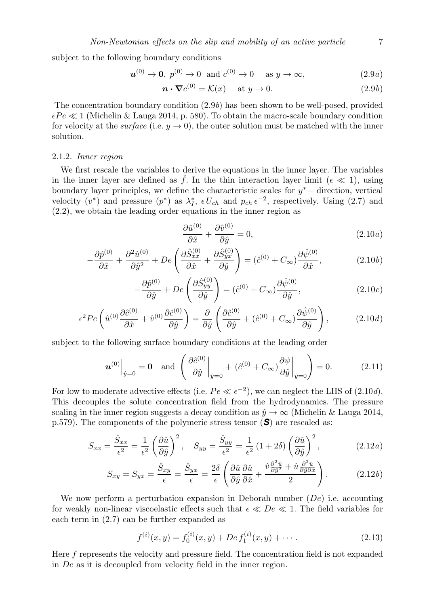subject to the following boundary conditions

$$
\mathbf{u}^{(0)} \to \mathbf{0}, \ p^{(0)} \to 0 \quad \text{and} \ c^{(0)} \to 0 \quad \text{as } y \to \infty,
$$
 (2.9*a*)

$$
\boldsymbol{n} \cdot \boldsymbol{\nabla} c^{(0)} = \mathcal{K}(x) \quad \text{at } y \to 0. \tag{2.9b}
$$

The concentration boundary condition (2.9b) has been shown to be well-posed, provided  $\epsilon Pe \ll 1$  (Michelin & Lauga 2014, p. 580). To obtain the macro-scale boundary condition for velocity at the *surface* (i.e.  $y \rightarrow 0$ ), the outer solution must be matched with the inner solution.

#### 2.1.2. Inner region

We first rescale the variables to derive the equations in the inner layer. The variables in the inner layer are defined as f. In the thin interaction layer limit ( $\epsilon \ll 1$ ), using boundary layer principles, we define the characteristic scales for  $y^*$  – direction, vertical velocity  $(v^*)$  and pressure  $(p^*)$  as  $\lambda_I^*, \epsilon U_{ch}$  and  $p_{ch} \epsilon^{-2}$ , respectively. Using (2.7) and (2.2), we obtain the leading order equations in the inner region as

$$
\frac{\partial \hat{u}^{(0)}}{\partial \hat{x}} + \frac{\partial \hat{v}^{(0)}}{\partial \hat{y}} = 0, \qquad (2.10a)
$$

$$
-\frac{\partial \hat{p}^{(0)}}{\partial \hat{x}} + \frac{\partial^2 \hat{u}^{(0)}}{\partial \hat{y}^2} + De\left(\frac{\partial \hat{S}_{xx}^{(0)}}{\partial \hat{x}} + \frac{\partial \hat{S}_{yx}^{(0)}}{\partial \hat{y}}\right) = (\hat{c}^{(0)} + C_{\infty})\frac{\partial \hat{\psi}^{(0)}}{\partial \hat{x}},\tag{2.10b}
$$

$$
-\frac{\partial \hat{p}^{(0)}}{\partial \hat{y}} + De\left(\frac{\partial \hat{S}_{yy}^{(0)}}{\partial \hat{y}}\right) = (\hat{c}^{(0)} + C_{\infty}) \frac{\partial \hat{\psi}^{(0)}}{\partial \hat{y}},\tag{2.10c}
$$

$$
\epsilon^2 Pe\left(\hat{u}^{(0)}\frac{\partial\hat{c}^{(0)}}{\partial\hat{x}} + \hat{v}^{(0)}\frac{\partial\hat{c}^{(0)}}{\partial\hat{y}}\right) = \frac{\partial}{\partial\hat{y}}\left(\frac{\partial\hat{c}^{(0)}}{\partial\hat{y}} + (\hat{c}^{(0)} + C_{\infty})\frac{\partial\hat{\psi}^{(0)}}{\partial\hat{y}}\right),\tag{2.10d}
$$

subject to the following surface boundary conditions at the leading order

$$
\boldsymbol{u}^{(0)}\Big|_{\hat{y}=0} = \mathbf{0} \quad \text{and} \quad \left(\frac{\partial \hat{c}^{(0)}}{\partial \hat{y}}\Big|_{\hat{y}=0} + (\hat{c}^{(0)} + C_{\infty})\frac{\partial \psi}{\partial \hat{y}}\Big|_{\hat{y}=0}\right) = 0. \tag{2.11}
$$

For low to moderate advective effects (i.e.  $Pe \ll \epsilon^{-2}$ ), we can neglect the LHS of (2.10*d*). This decouples the solute concentration field from the hydrodynamics. The pressure scaling in the inner region suggests a decay condition as  $\hat{y} \to \infty$  (Michelin & Lauga 2014, p.579). The components of the polymeric stress tensor (*S*) are rescaled as:

$$
S_{xx} = \frac{\hat{S}_{xx}}{\epsilon^2} = \frac{1}{\epsilon^2} \left( \frac{\partial \hat{u}}{\partial \hat{y}} \right)^2, \quad S_{yy} = \frac{\hat{S}_{yy}}{\epsilon^2} = \frac{1}{\epsilon^2} \left( 1 + 2\delta \right) \left( \frac{\partial \hat{u}}{\partial \hat{y}} \right)^2, \tag{2.12a}
$$

$$
S_{xy} = S_{yx} = \frac{\hat{S}_{xy}}{\epsilon} = \frac{\hat{S}_{yx}}{\epsilon} = \frac{2\delta}{\epsilon} \left( \frac{\partial \hat{u}}{\partial \hat{y}} \frac{\partial \hat{u}}{\partial \hat{x}} + \frac{\hat{v}\frac{\partial^2 \hat{u}}{\partial \hat{y}^2} + \hat{u}\frac{\partial^2 \hat{u}}{\partial \hat{y}\partial \hat{x}}}{2} \right).
$$
 (2.12b)

We now perform a perturbation expansion in Deborah number  $(De)$  i.e. accounting for weakly non-linear viscoelastic effects such that  $\epsilon \ll De \ll 1$ . The field variables for each term in (2.7) can be further expanded as

$$
f^{(i)}(x,y) = f_0^{(i)}(x,y) + De \, f_1^{(i)}(x,y) + \cdots \,. \tag{2.13}
$$

Here f represents the velocity and pressure field. The concentration field is not expanded in De as it is decoupled from velocity field in the inner region.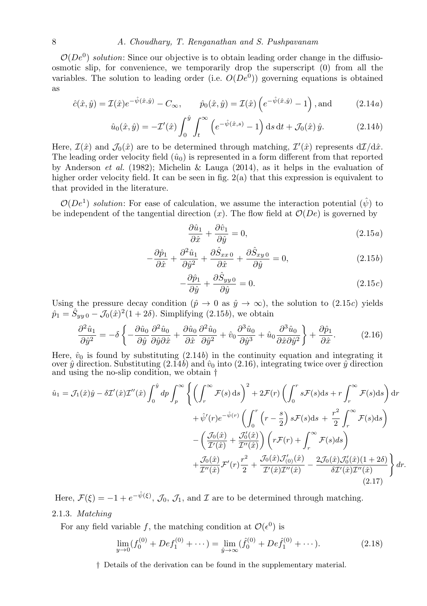## 8 A. Choudhary, T. Renganathan and S. Pushpavanam

 $\mathcal{O}(De^0)$  solution: Since our objective is to obtain leading order change in the diffusioosmotic slip, for convenience, we temporarily drop the superscript (0) from all the variables. The solution to leading order (i.e.  $O(De^{0})$ ) governing equations is obtained as

$$
\hat{c}(\hat{x}, \hat{y}) = \mathcal{I}(\hat{x})e^{-\hat{\psi}(\hat{x}, \hat{y})} - C_{\infty}, \qquad \hat{p}_0(\hat{x}, \hat{y}) = \mathcal{I}(\hat{x})\left(e^{-\hat{\psi}(\hat{x}, \hat{y})} - 1\right), \text{and} \tag{2.14a}
$$

$$
\hat{u}_0(\hat{x}, \hat{y}) = -\mathcal{I}'(\hat{x}) \int_0^{\hat{y}} \int_t^{\infty} \left( e^{-\hat{\psi}(\hat{x}, s)} - 1 \right) \mathrm{d}s \, \mathrm{d}t + \mathcal{J}_0(\hat{x}) \hat{y}.
$$
 (2.14b)

Here,  $\mathcal{I}(\hat{x})$  and  $\mathcal{J}_0(\hat{x})$  are to be determined through matching,  $\mathcal{I}'(\hat{x})$  represents  $d\mathcal{I}/d\hat{x}$ . The leading order velocity field  $(\hat{u}_0)$  is represented in a form different from that reported by Anderson *et al.* (1982); Michelin & Lauga (2014), as it helps in the evaluation of higher order velocity field. It can be seen in fig. 2(a) that this expression is equivalent to that provided in the literature.

 $\mathcal{O}(De^1)$  solution: For ease of calculation, we assume the interaction potential  $(\hat{\psi})$  to be independent of the tangential direction  $(x)$ . The flow field at  $\mathcal{O}(De)$  is governed by

$$
\frac{\partial \hat{u}_1}{\partial \hat{x}} + \frac{\partial \hat{v}_1}{\partial \hat{y}} = 0, \tag{2.15a}
$$

$$
-\frac{\partial \hat{p}_1}{\partial \hat{x}} + \frac{\partial^2 \hat{u}_1}{\partial \hat{y}^2} + \frac{\partial \hat{S}_{xx0}}{\partial \hat{x}} + \frac{\partial \hat{S}_{xy0}}{\partial \hat{y}} = 0,
$$
\n(2.15*b*)

$$
-\frac{\partial \hat{p}_1}{\partial \hat{y}} + \frac{\partial \hat{S}_{yy}}{\partial \hat{y}} = 0.
$$
 (2.15*c*)

Using the pressure decay condition ( $\hat{p} \to 0$  as  $\hat{y} \to \infty$ ), the solution to (2.15c) yields  $\hat{p}_1 = \hat{S}_{yy\,0} - \mathcal{J}_0(\hat{x})^2 (1+2\delta)$ . Simplifying  $(2.15b)$ , we obtain

$$
\frac{\partial^2 \hat{u}_1}{\partial \hat{y}^2} = -\delta \left\{ -\frac{\partial \hat{u}_0}{\partial \hat{y}} \frac{\partial^2 \hat{u}_0}{\partial \hat{y} \partial \hat{x}} + \frac{\partial \hat{u}_0}{\partial \hat{x}} \frac{\partial^2 \hat{u}_0}{\partial \hat{y}^2} + \hat{v}_0 \frac{\partial^3 \hat{u}_0}{\partial \hat{y}^3} + \hat{u}_0 \frac{\partial^3 \hat{u}_0}{\partial \hat{x} \partial \hat{y}^2} \right\} + \frac{\partial \hat{p}_1}{\partial \hat{x}}.
$$
(2.16)

Here,  $\hat{v}_0$  is found by substituting  $(2.14b)$  in the continuity equation and integrating it over  $\hat{y}$  direction. Substituting  $(2.14b)$  and  $\hat{v}_0$  into (2.16), integrating twice over  $\hat{y}$  direction and using the no-slip condition, we obtain †

$$
\hat{u}_1 = \mathcal{J}_1(\hat{x})\hat{y} - \delta \mathcal{I}'(\hat{x})\mathcal{I}''(\hat{x}) \int_0^{\hat{y}} dp \int_p^{\infty} \left\{ \left( \int_r^{\infty} \mathcal{F}(s) ds \right)^2 + 2\mathcal{F}(r) \left( \int_0^r s \mathcal{F}(s) ds + r \int_r^{\infty} \mathcal{F}(s) ds \right) dr \n+ \hat{\psi}'(r) e^{-\hat{\psi}(r)} \left( \int_0^r \left( r - \frac{s}{2} \right) s \mathcal{F}(s) ds + \frac{r^2}{2} \int_r^{\infty} \mathcal{F}(s) ds \right) \n- \left( \frac{\mathcal{J}_0(\hat{x})}{\mathcal{I}'(\hat{x})} + \frac{\mathcal{J}_0'(\hat{x})}{\mathcal{I}'(\hat{x})} \right) \left( r \mathcal{F}(r) + \int_r^{\infty} \mathcal{F}(s) ds \right) \n+ \frac{\mathcal{J}_0(\hat{x})}{\mathcal{I}''(\hat{x})} \mathcal{F}'(r) \frac{r^2}{2} + \frac{\mathcal{J}_0(\hat{x})\mathcal{J}'(0)(\hat{x})}{\mathcal{I}'(\hat{x})\mathcal{I}''(\hat{x})} - \frac{2\mathcal{J}_0(\hat{x})\mathcal{J}_0'(\hat{x})(1+2\delta)}{\delta \mathcal{I}'(\hat{x})\mathcal{I}''(\hat{x})} \right\} dr.
$$
\n(2.17)

Here,  $\mathcal{F}(\xi) = -1 + e^{-\hat{\psi}(\xi)}$ ,  $\mathcal{J}_0$ ,  $\mathcal{J}_1$ , and  $\mathcal{I}$  are to be determined through matching.

## 2.1.3. Matching

For any field variable f, the matching condition at  $\mathcal{O}(\epsilon^0)$  is

$$
\lim_{y \to 0} (f_0^{(0)} + D e f_1^{(0)} + \cdots) = \lim_{\hat{y} \to \infty} (\hat{f}_0^{(0)} + D e \hat{f}_1^{(0)} + \cdots).
$$
 (2.18)

† Details of the derivation can be found in the supplementary material.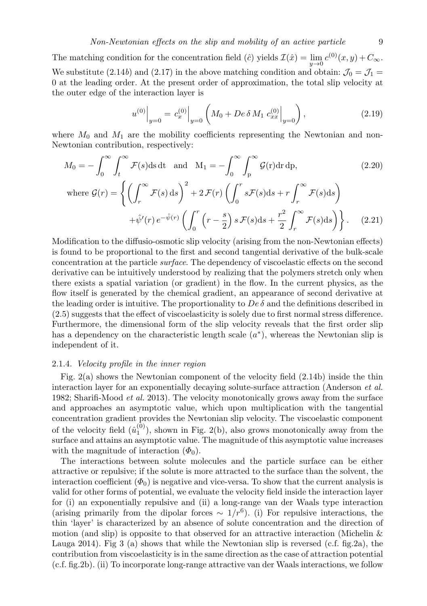The matching condition for the concentration field ( $\hat{c}$ ) yields  $\mathcal{I}(\hat{x}) = \lim_{y \to 0} c^{(0)}(x, y) + C_{\infty}$ . We substitute (2.14b) and (2.17) in the above matching condition and obtain:  $\mathcal{J}_0 = \mathcal{J}_1$ 0 at the leading order. At the present order of approximation, the total slip velocity at the outer edge of the interaction layer is

$$
u^{(0)}\Big|_{y=0} = c_x^{(0)}\Big|_{y=0} \left( M_0 + De \,\delta \,M_1 \, c_{xx}^{(0)}\Big|_{y=0} \right),\tag{2.19}
$$

where  $M_0$  and  $M_1$  are the mobility coefficients representing the Newtonian and non-Newtonian contribution, respectively:

$$
M_0 = -\int_0^\infty \int_t^\infty \mathcal{F}(s) \, \mathrm{d}s \, \mathrm{d}t \quad \text{and} \quad M_1 = -\int_0^\infty \int_p^\infty \mathcal{G}(r) \, \mathrm{d}r \, \mathrm{d}p,\tag{2.20}
$$
\n
$$
\text{where } \mathcal{G}(r) = \left\{ \left( \int_r^\infty \mathcal{F}(s) \, \mathrm{d}s \right)^2 + 2\mathcal{F}(r) \left( \int_0^r s \mathcal{F}(s) \, \mathrm{d}s + r \int_r^\infty \mathcal{F}(s) \, \mathrm{d}s \right) + \hat{\psi}'(r) \, e^{-\hat{\psi}(r)} \left( \int_0^r \left( r - \frac{s}{2} \right) s \, \mathcal{F}(s) \, \mathrm{d}s + \frac{r^2}{2} \int_r^\infty \mathcal{F}(s) \, \mathrm{d}s \right) \right\}.\tag{2.21}
$$

Modification to the diffusio-osmotic slip velocity (arising from the non-Newtonian effects) is found to be proportional to the first and second tangential derivative of the bulk-scale concentration at the particle surface. The dependency of viscoelastic effects on the second derivative can be intuitively understood by realizing that the polymers stretch only when there exists a spatial variation (or gradient) in the flow. In the current physics, as the flow itself is generated by the chemical gradient, an appearance of second derivative at the leading order is intuitive. The proportionality to  $De \delta$  and the definitions described in (2.5) suggests that the effect of viscoelasticity is solely due to first normal stress difference. Furthermore, the dimensional form of the slip velocity reveals that the first order slip has a dependency on the characteristic length scale  $(a^*)$ , whereas the Newtonian slip is independent of it.

## 2.1.4. Velocity profile in the inner region

Fig. 2(a) shows the Newtonian component of the velocity field (2.14b) inside the thin interaction layer for an exponentially decaying solute-surface attraction (Anderson et al. 1982; Sharifi-Mood *et al.* 2013). The velocity monotonically grows away from the surface and approaches an asymptotic value, which upon multiplication with the tangential concentration gradient provides the Newtonian slip velocity. The viscoelastic component of the velocity field  $(\hat{u}_1^{(0)})$ , shown in Fig. 2(b), also grows monotonically away from the surface and attains an asymptotic value. The magnitude of this asymptotic value increases with the magnitude of interaction  $(\Phi_0)$ .

The interactions between solute molecules and the particle surface can be either attractive or repulsive; if the solute is more attracted to the surface than the solvent, the interaction coefficient  $(\Phi_0)$  is negative and vice-versa. To show that the current analysis is valid for other forms of potential, we evaluate the velocity field inside the interaction layer for (i) an exponentially repulsive and (ii) a long-range van der Waals type interaction (arising primarily from the dipolar forces  $\sim 1/r^6$ ). (i) For repulsive interactions, the thin 'layer' is characterized by an absence of solute concentration and the direction of motion (and slip) is opposite to that observed for an attractive interaction (Michelin  $\&$ Lauga 2014). Fig 3 (a) shows that while the Newtonian slip is reversed (c.f. fig. 2a), the contribution from viscoelasticity is in the same direction as the case of attraction potential (c.f. fig.2b). (ii) To incorporate long-range attractive van der Waals interactions, we follow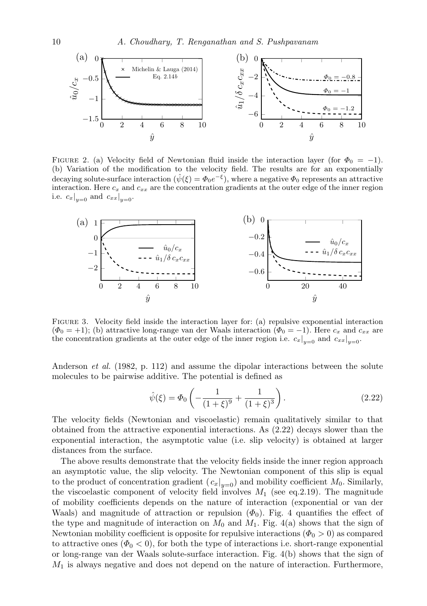

FIGURE 2. (a) Velocity field of Newtonian fluid inside the interaction layer (for  $\Phi_0 = -1$ ). (b) Variation of the modification to the velocity field. The results are for an exponentially decaying solute-surface interaction  $(\hat{\psi}(\xi) = \Phi_0 e^{-\xi})$ , where a negative  $\Phi_0$  represents an attractive interaction. Here  $c_x$  and  $c_{xx}$  are the concentration gradients at the outer edge of the inner region i.e.  $c_x|_{y=0}$  and  $c_{xx}|_{y=0}$ .



Figure 3. Velocity field inside the interaction layer for: (a) repulsive exponential interaction  $(\Phi_0 = +1)$ ; (b) attractive long-range van der Waals interaction  $(\Phi_0 = -1)$ . Here  $c_x$  and  $c_{xx}$  are the concentration gradients at the outer edge of the inner region i.e.  $c_x|_{y=0}$  and  $c_{xx}|_{y=0}$ .

Anderson et al. (1982, p. 112) and assume the dipolar interactions between the solute molecules to be pairwise additive. The potential is defined as

$$
\hat{\psi}(\xi) = \Phi_0 \left( -\frac{1}{(1+\xi)^9} + \frac{1}{(1+\xi)^3} \right). \tag{2.22}
$$

The velocity fields (Newtonian and viscoelastic) remain qualitatively similar to that obtained from the attractive exponential interactions. As (2.22) decays slower than the exponential interaction, the asymptotic value (i.e. slip velocity) is obtained at larger distances from the surface.

The above results demonstrate that the velocity fields inside the inner region approach an asymptotic value, the slip velocity. The Newtonian component of this slip is equal to the product of concentration gradient  $(c_x|_{y=0})$  and mobility coefficient  $M_0$ . Similarly, the viscoelastic component of velocity field involves  $M_1$  (see eq.2.19). The magnitude of mobility coefficients depends on the nature of interaction (exponential or van der Waals) and magnitude of attraction or repulsion  $(\Phi_0)$ . Fig. 4 quantifies the effect of the type and magnitude of interaction on  $M_0$  and  $M_1$ . Fig. 4(a) shows that the sign of Newtonian mobility coefficient is opposite for repulsive interactions ( $\Phi_0 > 0$ ) as compared to attractive ones  $(\Phi_0 < 0)$ , for both the type of interactions i.e. short-range exponential or long-range van der Waals solute-surface interaction. Fig. 4(b) shows that the sign of  $M_1$  is always negative and does not depend on the nature of interaction. Furthermore,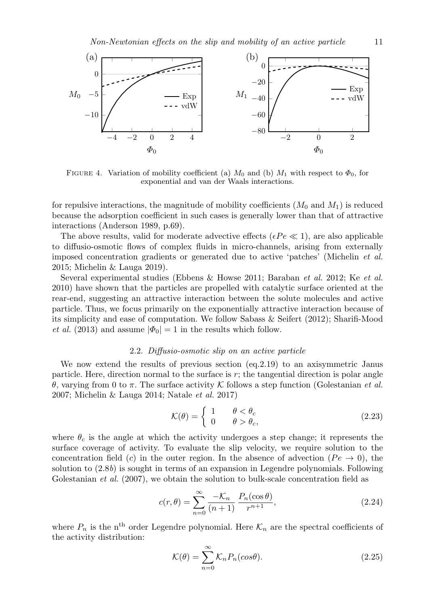

FIGURE 4. Variation of mobility coefficient (a)  $M_0$  and (b)  $M_1$  with respect to  $\Phi_0$ , for exponential and van der Waals interactions.

for repulsive interactions, the magnitude of mobility coefficients  $(M_0 \text{ and } M_1)$  is reduced because the adsorption coefficient in such cases is generally lower than that of attractive interactions (Anderson 1989, p.69).

The above results, valid for moderate advective effects ( $\epsilon Pe \ll 1$ ), are also applicable to diffusio-osmotic flows of complex fluids in micro-channels, arising from externally imposed concentration gradients or generated due to active 'patches' (Michelin et al. 2015; Michelin & Lauga 2019).

Several experimental studies (Ebbens & Howse 2011; Baraban et al. 2012; Ke et al. 2010) have shown that the particles are propelled with catalytic surface oriented at the rear-end, suggesting an attractive interaction between the solute molecules and active particle. Thus, we focus primarily on the exponentially attractive interaction because of its simplicity and ease of computation. We follow Sabass & Seifert (2012); Sharifi-Mood *et al.* (2013) and assume  $|\Phi_0| = 1$  in the results which follow.

## 2.2. Diffusio-osmotic slip on an active particle

We now extend the results of previous section (eq.2.19) to an axisymmetric Janus particle. Here, direction normal to the surface is  $r$ ; the tangential direction is polar angle θ, varying from 0 to π. The surface activity K follows a step function (Golestanian et al. 2007; Michelin & Lauga 2014; Natale et al. 2017)

$$
\mathcal{K}(\theta) = \begin{cases} 1 & \theta < \theta_c \\ 0 & \theta > \theta_c, \end{cases}
$$
 (2.23)

where  $\theta_c$  is the angle at which the activity undergoes a step change; it represents the surface coverage of activity. To evaluate the slip velocity, we require solution to the concentration field (c) in the outer region. In the absence of advection  $(Pe \rightarrow 0)$ , the solution to (2.8b) is sought in terms of an expansion in Legendre polynomials. Following Golestanian *et al.* (2007), we obtain the solution to bulk-scale concentration field as

$$
c(r,\theta) = \sum_{n=0}^{\infty} \frac{-\mathcal{K}_n}{(n+1)} \frac{P_n(\cos\theta)}{r^{n+1}},
$$
\n(2.24)

where  $P_n$  is the n<sup>th</sup> order Legendre polynomial. Here  $\mathcal{K}_n$  are the spectral coefficients of the activity distribution:

$$
\mathcal{K}(\theta) = \sum_{n=0}^{\infty} \mathcal{K}_n P_n(\cos \theta). \tag{2.25}
$$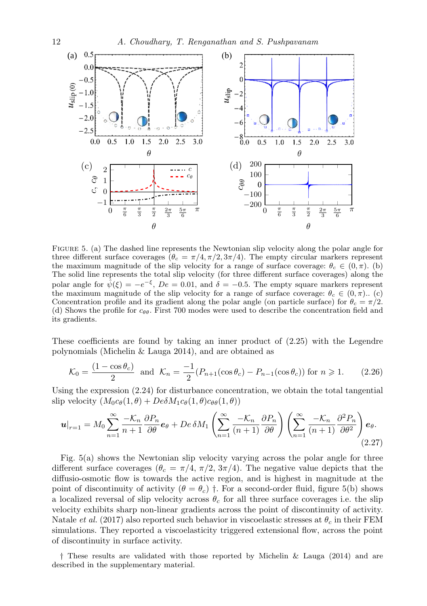

Figure 5. (a) The dashed line represents the Newtonian slip velocity along the polar angle for three different surface coverages ( $\theta_c = \pi/4, \pi/2, 3\pi/4$ ). The empty circular markers represent the maximum magnitude of the slip velocity for a range of surface coverage:  $\theta_c \in (0, \pi)$ . (b) The solid line represents the total slip velocity (for three different surface coverages) along the polar angle for  $\hat{\psi}(\xi) = -e^{-\xi}, De = 0.01$ , and  $\delta = -0.5$ . The empty square markers represent the maximum magnitude of the slip velocity for a range of surface coverage:  $\theta_c \in (0, \pi)$ .. (c) Concentration profile and its gradient along the polar angle (on particle surface) for  $\theta_c = \pi/2$ . (d) Shows the profile for  $c_{\theta\theta}$ . First 700 modes were used to describe the concentration field and its gradients.

These coefficients are found by taking an inner product of (2.25) with the Legendre polynomials (Michelin & Lauga 2014), and are obtained as

$$
\mathcal{K}_0 = \frac{(1 - \cos \theta_c)}{2} \text{ and } \mathcal{K}_n = \frac{-1}{2} (P_{n+1}(\cos \theta_c) - P_{n-1}(\cos \theta_c)) \text{ for } n \ge 1. \tag{2.26}
$$

Using the expression  $(2.24)$  for disturbance concentration, we obtain the total tangential slip velocity  $(M_0c_{\theta}(1, \theta) + De\delta M_1c_{\theta}(1, \theta)c_{\theta\theta}(1, \theta))$ 

$$
\boldsymbol{u}|_{r=1} = M_0 \sum_{n=1}^{\infty} \frac{-\mathcal{K}_n}{n+1} \frac{\partial P_n}{\partial \theta} \boldsymbol{e}_{\theta} + D e \, \delta M_1 \left( \sum_{n=1}^{\infty} \frac{-\mathcal{K}_n}{(n+1)} \frac{\partial P_n}{\partial \theta} \right) \left( \sum_{n=1}^{\infty} \frac{-\mathcal{K}_n}{(n+1)} \frac{\partial^2 P_n}{\partial \theta^2} \right) \boldsymbol{e}_{\theta}.
$$
\n(2.27)

Fig. 5(a) shows the Newtonian slip velocity varying across the polar angle for three different surface coverages ( $\theta_c = \pi/4$ ,  $\pi/2$ ,  $3\pi/4$ ). The negative value depicts that the diffusio-osmotic flow is towards the active region, and is highest in magnitude at the point of discontinuity of activity  $(\theta = \theta_c)$  †. For a second-order fluid, figure 5(b) shows a localized reversal of slip velocity across  $\theta_c$  for all three surface coverages i.e. the slip velocity exhibits sharp non-linear gradients across the point of discontinuity of activity. Natale *et al.* (2017) also reported such behavior in viscoelastic stresses at  $\theta_c$  in their FEM simulations. They reported a viscoelasticity triggered extensional flow, across the point of discontinuity in surface activity.

† These results are validated with those reported by Michelin & Lauga (2014) and are described in the supplementary material.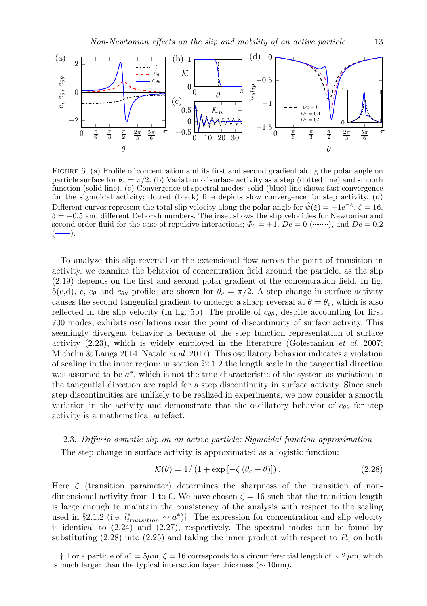

FIGURE 6. (a) Profile of concentration and its first and second gradient along the polar angle on particle surface for  $\theta_c = \pi/2$ . (b) Variation of surface activity as a step (dotted line) and smooth function (solid line). (c) Convergence of spectral modes: solid (blue) line shows fast convergence for the sigmoidal activity; dotted (black) line depicts slow convergence for step activity. (d) Different curves represent the total slip velocity along the polar angle for  $\hat{\psi}(\xi) = -1e^{-\xi}, \zeta = 16$ ,  $\delta = -0.5$  and different Deborah numbers. The inset shows the slip velocities for Newtonian and second-order fluid for the case of repulsive interactions;  $\Phi_0 = +1$ ,  $De = 0$  ( $\ldots$ ,,), and  $De = 0.2$  $\left( \longrightarrow \right)$ .

To analyze this slip reversal or the extensional flow across the point of transition in activity, we examine the behavior of concentration field around the particle, as the slip (2.19) depends on the first and second polar gradient of the concentration field. In fig.  $5(c,d)$ , c,  $c_{\theta}$  and  $c_{\theta\theta}$  profiles are shown for  $\theta_c = \pi/2$ . A step change in surface activity causes the second tangential gradient to undergo a sharp reversal at  $\theta = \theta_c$ , which is also reflected in the slip velocity (in fig. 5b). The profile of  $c_{\theta\theta}$ , despite accounting for first 700 modes, exhibits oscillations near the point of discontinuity of surface activity. This seemingly divergent behavior is because of the step function representation of surface activity  $(2.23)$ , which is widely employed in the literature (Golestanian *et al.* 2007; Michelin & Lauga 2014; Natale *et al.* 2017). This oscillatory behavior indicates a violation of scaling in the inner region: in section  $\S2.1.2$  the length scale in the tangential direction was assumed to be  $a^*$ , which is not the true characteristic of the system as variations in the tangential direction are rapid for a step discontinuity in surface activity. Since such step discontinuities are unlikely to be realized in experiments, we now consider a smooth variation in the activity and demonstrate that the oscillatory behavior of  $c_{\theta\theta}$  for step activity is a mathematical artefact.

## 2.3. Diffusio-osmotic slip on an active particle: Sigmoidal function approximation

The step change in surface activity is approximated as a logistic function:

$$
\mathcal{K}(\theta) = 1/(1 + \exp[-\zeta(\theta_c - \theta)]). \tag{2.28}
$$

Here  $\zeta$  (transition parameter) determines the sharpness of the transition of nondimensional activity from 1 to 0. We have chosen  $\zeta = 16$  such that the transition length is large enough to maintain the consistency of the analysis with respect to the scaling used in §2.1.2 (i.e.  $l_{transition}^* \sim a^*$ )†. The expression for concentration and slip velocity is identical to  $(2.24)$  and  $(2.27)$ , respectively. The spectral modes can be found by substituting  $(2.28)$  into  $(2.25)$  and taking the inner product with respect to  $P_n$  on both

† For a particle of  $a^* = 5\mu$ m,  $\zeta = 16$  corresponds to a circumferential length of ~ 2  $\mu$ m, which is much larger than the typical interaction layer thickness ( $\sim 10$ nm).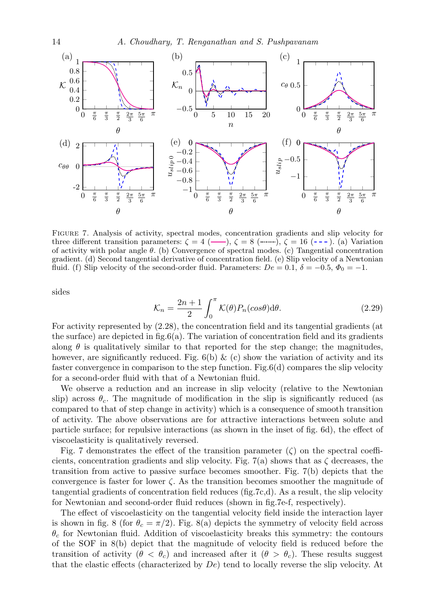

Figure 7. Analysis of activity, spectral modes, concentration gradients and slip velocity for three different transition parameters:  $\zeta = 4$  (---),  $\zeta = 8$  (  $\ldots$ ,  $\zeta = 16$  (---). (a) Variation of activity with polar angle  $\theta$ . (b) Convergence of spectral modes. (c) Tangential concentration gradient. (d) Second tangential derivative of concentration field. (e) Slip velocity of a Newtonian fluid. (f) Slip velocity of the second-order fluid. Parameters:  $De = 0.1$ ,  $\delta = -0.5$ ,  $\Phi_0 = -1$ .

sides

$$
\mathcal{K}_n = \frac{2n+1}{2} \int_0^\pi \mathcal{K}(\theta) P_n(\cos \theta) \mathrm{d}\theta. \tag{2.29}
$$

For activity represented by (2.28), the concentration field and its tangential gradients (at the surface) are depicted in  $fig.6(a)$ . The variation of concentration field and its gradients along  $\theta$  is qualitatively similar to that reported for the step change; the magnitudes, however, are significantly reduced. Fig.  $6(b) \& (c)$  show the variation of activity and its faster convergence in comparison to the step function. Fig.6(d) compares the slip velocity for a second-order fluid with that of a Newtonian fluid.

We observe a reduction and an increase in slip velocity (relative to the Newtonian slip) across  $\theta_c$ . The magnitude of modification in the slip is significantly reduced (as compared to that of step change in activity) which is a consequence of smooth transition of activity. The above observations are for attractive interactions between solute and particle surface; for repulsive interactions (as shown in the inset of fig. 6d), the effect of viscoelasticity is qualitatively reversed.

Fig. 7 demonstrates the effect of the transition parameter  $(\zeta)$  on the spectral coefficients, concentration gradients and slip velocity. Fig. 7(a) shows that as  $\zeta$  decreases, the transition from active to passive surface becomes smoother. Fig. 7(b) depicts that the convergence is faster for lower  $\zeta$ . As the transition becomes smoother the magnitude of tangential gradients of concentration field reduces (fig.7c,d). As a result, the slip velocity for Newtonian and second-order fluid reduces (shown in fig.7e-f, respectively).

The effect of viscoelasticity on the tangential velocity field inside the interaction layer is shown in fig. 8 (for  $\theta_c = \pi/2$ ). Fig. 8(a) depicts the symmetry of velocity field across  $\theta_c$  for Newtonian fluid. Addition of viscoelasticity breaks this symmetry: the contours of the SOF in 8(b) depict that the magnitude of velocity field is reduced before the transition of activity  $(\theta \leq \theta_c)$  and increased after it  $(\theta \geq \theta_c)$ . These results suggest that the elastic effects (characterized by  $De$ ) tend to locally reverse the slip velocity. At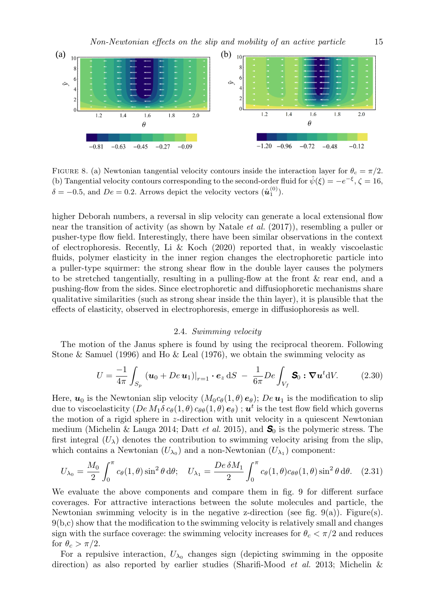

FIGURE 8. (a) Newtonian tangential velocity contours inside the interaction layer for  $\theta_c = \pi/2$ . (b) Tangential velocity contours corresponding to the second-order fluid for  $\hat{\psi}(\xi) = -e^{-\xi}, \zeta = 16$ ,  $\delta = -0.5$ , and  $De = 0.2$ . Arrows depict the velocity vectors  $(\hat{u}_1^{(0)})$ .

higher Deborah numbers, a reversal in slip velocity can generate a local extensional flow near the transition of activity (as shown by Natale et al. (2017)), resembling a puller or pusher-type flow field. Interestingly, there have been similar observations in the context of electrophoresis. Recently, Li & Koch  $(2020)$  reported that, in weakly viscoelastic fluids, polymer elasticity in the inner region changes the electrophoretic particle into a puller-type squirmer: the strong shear flow in the double layer causes the polymers to be stretched tangentially, resulting in a pulling-flow at the front & rear end, and a pushing-flow from the sides. Since electrophoretic and diffusiophoretic mechanisms share qualitative similarities (such as strong shear inside the thin layer), it is plausible that the effects of elasticity, observed in electrophoresis, emerge in diffusiophoresis as well.

# 2.4. Swimming velocity

The motion of the Janus sphere is found by using the reciprocal theorem. Following Stone & Samuel (1996) and Ho & Leal (1976), we obtain the swimming velocity as

$$
U = \frac{-1}{4\pi} \int_{S_p} \left( \boldsymbol{u}_0 + De \, \boldsymbol{u}_1 \right)|_{r=1} \cdot \boldsymbol{e}_z \, \mathrm{d}S \ - \ \frac{1}{6\pi} De \int_{V_f} \mathbf{S}_0 : \nabla \boldsymbol{u}^t \mathrm{d}V. \tag{2.30}
$$

Here,  $u_0$  is the Newtonian slip velocity  $(M_0 c_{\theta}(1, \theta) e_{\theta})$ ; De  $u_1$  is the modification to slip due to viscoelasticity  $(De\,M_1\delta\,c_\theta(1,\theta)\,c_{\theta\theta}(1,\theta)\,\bm{e}_\theta)$  ;  $\bm{u}^t$  is the test flow field which governs the motion of a rigid sphere in z-direction with unit velocity in a quiescent Newtonian medium (Michelin & Lauga 2014; Datt et al. 2015), and *S*<sup>0</sup> is the polymeric stress. The first integral  $(U_\lambda)$  denotes the contribution to swimming velocity arising from the slip, which contains a Newtonian  $(U_{\lambda_0})$  and a non-Newtonian  $(U_{\lambda_1})$  component:

$$
U_{\lambda_0} = \frac{M_0}{2} \int_0^{\pi} c_\theta(1,\theta) \sin^2 \theta \, d\theta; \quad U_{\lambda_1} = \frac{De \,\delta M_1}{2} \int_0^{\pi} c_\theta(1,\theta) c_{\theta\theta}(1,\theta) \sin^2 \theta \, d\theta. \quad (2.31)
$$

We evaluate the above components and compare them in fig. 9 for different surface coverages. For attractive interactions between the solute molecules and particle, the Newtonian swimming velocity is in the negative z-direction (see fig.  $9(a)$ ). Figure(s). 9(b,c) show that the modification to the swimming velocity is relatively small and changes sign with the surface coverage: the swimming velocity increases for  $\theta_c < \pi/2$  and reduces for  $\theta_c > \pi/2$ .

For a repulsive interaction,  $U_{\lambda_0}$  changes sign (depicting swimming in the opposite direction) as also reported by earlier studies (Sharifi-Mood *et al.* 2013; Michelin  $\&$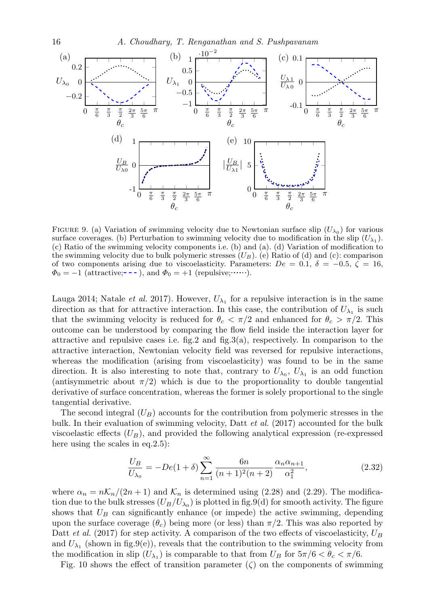

FIGURE 9. (a) Variation of swimming velocity due to Newtonian surface slip  $(U_{\lambda_0})$  for various surface coverages. (b) Perturbation to swimming velocity due to modification in the slip  $(U_{\lambda_1})$ . (c) Ratio of the swimming velocity components i.e. (b) and (a). (d) Variation of modification to the swimming velocity due to bulk polymeric stresses  $(U_B)$ . (e) Ratio of (d) and (c): comparison of two components arising due to viscoelasticity. Parameters:  $De = 0.1, \delta = -0.5, \zeta = 16$ ,  $\Phi_0 = -1$  (attractive; - - - ), and  $\Phi_0 = +1$  (repulsive; ......).

Lauga 2014; Natale *et al.* 2017). However,  $U_{\lambda_1}$  for a repulsive interaction is in the same direction as that for attractive interaction. In this case, the contribution of  $U_{\lambda_1}$  is such that the swimming velocity is reduced for  $\theta_c < \pi/2$  and enhanced for  $\theta_c > \pi/2$ . This outcome can be understood by comparing the flow field inside the interaction layer for attractive and repulsive cases i.e. fig.2 and fig.3(a), respectively. In comparison to the attractive interaction, Newtonian velocity field was reversed for repulsive interactions, whereas the modification (arising from viscoelasticity) was found to be in the same direction. It is also interesting to note that, contrary to  $U_{\lambda_0}$ ,  $U_{\lambda_1}$  is an odd function (antisymmetric about  $\pi/2$ ) which is due to the proportionality to double tangential derivative of surface concentration, whereas the former is solely proportional to the single tangential derivative.

The second integral  $(U_B)$  accounts for the contribution from polymeric stresses in the bulk. In their evaluation of swimming velocity, Datt *et al.* (2017) accounted for the bulk viscoelastic effects  $(U_B)$ , and provided the following analytical expression (re-expressed here using the scales in eq. 2.5):

$$
\frac{U_B}{U_{\lambda_0}} = -De(1+\delta) \sum_{n=1}^{\infty} \frac{6n}{(n+1)^2(n+2)} \frac{\alpha_n \alpha_{n+1}}{\alpha_1^2},
$$
\n(2.32)

where  $\alpha_n = n\mathcal{K}_n/(2n+1)$  and  $\mathcal{K}_n$  is determined using (2.28) and (2.29). The modification due to the bulk stresses  $(U_B/U_{\lambda_0})$  is plotted in fig.9(d) for smooth activity. The figure shows that  $U_B$  can significantly enhance (or impede) the active swimming, depending upon the surface coverage  $(\theta_c)$  being more (or less) than  $\pi/2$ . This was also reported by Datt *et al.* (2017) for step activity. A comparison of the two effects of viscoelasticity,  $U_B$ and  $U_{\lambda_1}$  (shown in fig.9(e)), reveals that the contribution to the swimming velocity from the modification in slip  $(U_{\lambda_1})$  is comparable to that from  $U_B$  for  $5\pi/6 < \theta_c < \pi/6$ .

Fig. 10 shows the effect of transition parameter  $(\zeta)$  on the components of swimming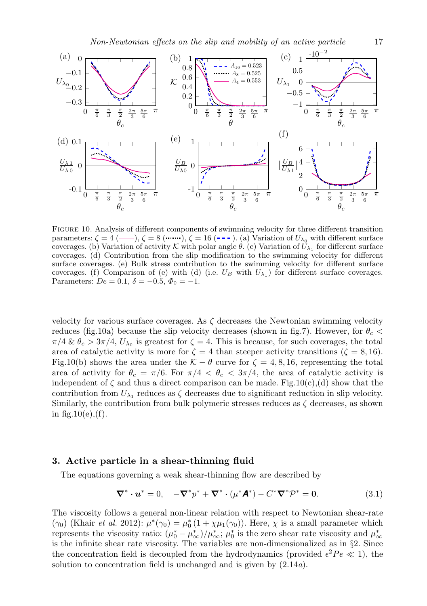Non-Newtonian effects on the slip and mobility of an active particle 17



Figure 10. Analysis of different components of swimming velocity for three different transition parameters:  $\zeta = 4$  (--),  $\zeta = 8$  ( ---), (a) Variation of  $U_{\lambda_0}$  with different surface coverages. (b) Variation of activity K with polar angle  $\theta$ . (c) Variation of  $U_{\lambda_1}$  for different surface coverages. (d) Contribution from the slip modification to the swimming velocity for different surface coverages. (e) Bulk stress contribution to the swimming velocity for different surface coverages. (f) Comparison of (e) with (d) (i.e.  $U_B$  with  $U_{\lambda_1}$ ) for different surface coverages. Parameters:  $De = 0.1, \delta = -0.5, \Phi_0 = -1.$ 

velocity for various surface coverages. As  $\zeta$  decreases the Newtonian swimming velocity reduces (fig.10a) because the slip velocity decreases (shown in fig.7). However, for  $\theta_c$  <  $\pi/4 \& \theta_c > 3\pi/4$ ,  $U_{\lambda_0}$  is greatest for  $\zeta = 4$ . This is because, for such coverages, the total area of catalytic activity is more for  $\zeta = 4$  than steeper activity transitions ( $\zeta = 8, 16$ ). Fig.10(b) shows the area under the  $K - \theta$  curve for  $\zeta = 4, 8, 16$ , representing the total area of activity for  $\theta_c = \pi/6$ . For  $\pi/4 < \theta_c < 3\pi/4$ , the area of catalytic activity is independent of  $\zeta$  and thus a direct comparison can be made. Fig.10(c),(d) show that the contribution from  $U_{\lambda_1}$  reduces as  $\zeta$  decreases due to significant reduction in slip velocity. Similarly, the contribution from bulk polymeric stresses reduces as  $\zeta$  decreases, as shown in fig.  $10(e)$ , (f).

## 3. Active particle in a shear-thinning fluid

The equations governing a weak shear-thinning flow are described by

$$
\nabla^* \cdot \boldsymbol{u}^* = 0, \quad -\nabla^* p^* + \nabla^* \cdot (\mu^* \mathbf{A}^*) - C^* \nabla^* \mathcal{P}^* = \mathbf{0}.
$$
 (3.1)

The viscosity follows a general non-linear relation with respect to Newtonian shear-rate ( $\gamma_0$ ) (Khair *et al.* 2012):  $\mu^*(\gamma_0) = \mu_0^*(1 + \chi \mu_1(\gamma_0))$ . Here,  $\chi$  is a small parameter which represents the viscosity ratio:  $(\mu_0^* - \mu_\infty^*)/\mu_\infty^*$ ;  $\mu_0^*$  is the zero shear rate viscosity and  $\mu_\infty^*$ is the infinite shear rate viscosity. The variables are non-dimensionalized as in §2. Since the concentration field is decoupled from the hydrodynamics (provided  $\epsilon^2 Pe \ll 1$ ), the solution to concentration field is unchanged and is given by (2.14a).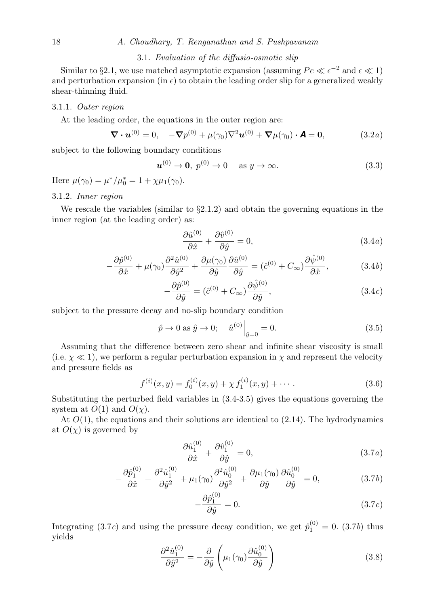# 3.1. Evaluation of the diffusio-osmotic slip

Similar to §2.1, we use matched asymptotic expansion (assuming  $Pe \ll \epsilon^{-2}$  and  $\epsilon \ll 1$ ) and perturbation expansion (in  $\epsilon$ ) to obtain the leading order slip for a generalized weakly shear-thinning fluid.

#### 3.1.1. Outer region

At the leading order, the equations in the outer region are:

$$
\nabla \cdot \boldsymbol{u}^{(0)} = 0, \quad -\nabla p^{(0)} + \mu(\gamma_0) \nabla^2 \boldsymbol{u}^{(0)} + \nabla \mu(\gamma_0) \cdot \boldsymbol{A} = 0,
$$
 (3.2*a*)

subject to the following boundary conditions

$$
u^{(0)} \to 0, \ p^{(0)} \to 0 \quad \text{as } y \to \infty. \tag{3.3}
$$

Here  $\mu(\gamma_0) = \mu^* / \mu_0^* = 1 + \chi \mu_1(\gamma_0)$ .

#### 3.1.2. Inner region

We rescale the variables (similar to  $\S2.1.2$ ) and obtain the governing equations in the inner region (at the leading order) as:

$$
\frac{\partial \hat{u}^{(0)}}{\partial \hat{x}} + \frac{\partial \hat{v}^{(0)}}{\partial \hat{y}} = 0, \tag{3.4a}
$$

$$
-\frac{\partial \hat{p}^{(0)}}{\partial \hat{x}} + \mu(\gamma_0) \frac{\partial^2 \hat{u}^{(0)}}{\partial \hat{y}^2} + \frac{\partial \mu(\gamma_0)}{\partial \hat{y}} \frac{\partial \hat{u}^{(0)}}{\partial \hat{y}} = (\hat{c}^{(0)} + C_{\infty}) \frac{\partial \hat{\psi}^{(0)}}{\partial \hat{x}},\tag{3.4b}
$$

$$
-\frac{\partial \hat{p}^{(0)}}{\partial \hat{y}} = (\hat{c}^{(0)} + C_{\infty}) \frac{\partial \hat{\psi}^{(0)}}{\partial \hat{y}},
$$
\n(3.4*c*)

subject to the pressure decay and no-slip boundary condition

$$
\hat{p} \to 0 \text{ as } \hat{y} \to 0; \quad \hat{u}^{(0)}\Big|_{\hat{y}=0} = 0.
$$
\n(3.5)

Assuming that the difference between zero shear and infinite shear viscosity is small (i.e.  $\chi \ll 1$ ), we perform a regular perturbation expansion in  $\chi$  and represent the velocity and pressure fields as

$$
f^{(i)}(x,y) = f_0^{(i)}(x,y) + \chi f_1^{(i)}(x,y) + \cdots
$$
 (3.6)

Substituting the perturbed field variables in (3.4-3.5) gives the equations governing the system at  $O(1)$  and  $O(\chi)$ .

At  $O(1)$ , the equations and their solutions are identical to  $(2.14)$ . The hydrodynamics at  $O(\chi)$  is governed by

$$
\frac{\partial \hat{u}_1^{(0)}}{\partial \hat{x}} + \frac{\partial \hat{v}_1^{(0)}}{\partial \hat{y}} = 0, \tag{3.7a}
$$

$$
-\frac{\partial \hat{p}_1^{(0)}}{\partial \hat{x}} + \frac{\partial^2 \hat{u}_1^{(0)}}{\partial \hat{y}^2} + \mu_1(\gamma_0) \frac{\partial^2 \hat{u}_0^{(0)}}{\partial \hat{y}^2} + \frac{\partial \mu_1(\gamma_0)}{\partial \hat{y}} \frac{\partial \hat{u}_0^{(0)}}{\partial \hat{y}} = 0, \tag{3.7b}
$$

$$
-\frac{\partial \hat{p}_1^{(0)}}{\partial \hat{y}} = 0. \tag{3.7c}
$$

Integrating (3.7c) and using the pressure decay condition, we get  $\hat{p}_1^{(0)} = 0$ . (3.7b) thus yields

$$
\frac{\partial^2 \hat{u}_1^{(0)}}{\partial \hat{y}^2} = -\frac{\partial}{\partial \hat{y}} \left( \mu_1(\gamma_0) \frac{\partial \hat{u}_0^{(0)}}{\partial \hat{y}} \right)
$$
(3.8)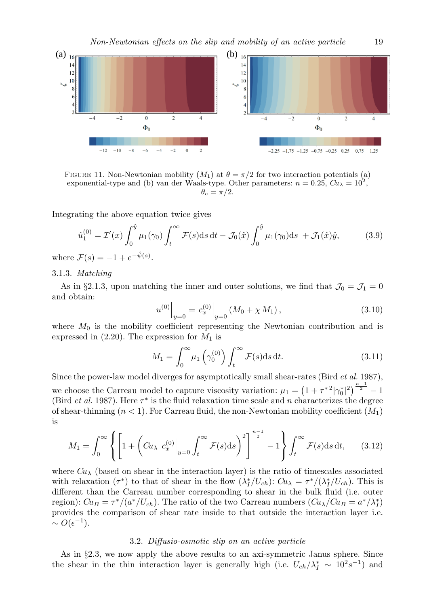

FIGURE 11. Non-Newtonian mobility  $(M_1)$  at  $\theta = \pi/2$  for two interaction potentials (a) exponential-type and (b) van der Waals-type. Other parameters:  $n = 0.25$ ,  $Cu<sub>\lambda</sub> = 10<sup>2</sup>$ ,  $\theta_c = \pi/2.$ 

Integrating the above equation twice gives

$$
\hat{u}_1^{(0)} = \mathcal{I}'(x) \int_0^{\hat{y}} \mu_1(\gamma_0) \int_t^{\infty} \mathcal{F}(s) \, \mathrm{d}s \, \mathrm{d}t - \mathcal{J}_0(\hat{x}) \int_0^{\hat{y}} \mu_1(\gamma_0) \, \mathrm{d}s + \mathcal{J}_1(\hat{x})\hat{y},\tag{3.9}
$$

where  $\mathcal{F}(s) = -1 + e^{-\hat{\psi}(s)}$ .

#### 3.1.3. Matching

As in §2.1.3, upon matching the inner and outer solutions, we find that  $\mathcal{J}_0 = \mathcal{J}_1 = 0$ and obtain:

$$
u^{(0)}\Big|_{y=0} = c_x^{(0)}\Big|_{y=0} (M_0 + \chi M_1), \qquad (3.10)
$$

where  $M_0$  is the mobility coefficient representing the Newtonian contribution and is expressed in  $(2.20)$ . The expression for  $M_1$  is

$$
M_1 = \int_0^\infty \mu_1\left(\gamma_0^{(0)}\right) \int_t^\infty \mathcal{F}(s) \, \mathrm{d}s \, \mathrm{d}t. \tag{3.11}
$$

Since the power-law model diverges for asymptotically small shear-rates (Bird et al. 1987), we choose the Carreau model to capture viscosity variation:  $\mu_1 = \left(1 + \tau^{*2}|\gamma_0^*|^2\right)^{\frac{n-1}{2}} - 1$ (Bird *et al.* 1987). Here  $\tau^*$  is the fluid relaxation time scale and n characterizes the degree of shear-thinning  $(n < 1)$ . For Carreau fluid, the non-Newtonian mobility coefficient  $(M_1)$ is

$$
M_1 = \int_0^\infty \left\{ \left[ 1 + \left( C u_\lambda \ c_x^{(0)} \Big|_{y=0} \int_t^\infty \mathcal{F}(s) \mathrm{d}s \right)^2 \right]^\frac{n-1}{2} - 1 \right\} \int_t^\infty \mathcal{F}(s) \mathrm{d}s \, \mathrm{d}t, \qquad (3.12)
$$

where  $Cu<sub>\lambda</sub>$  (based on shear in the interaction layer) is the ratio of timescales associated with relaxation  $(\tau^*)$  to that of shear in the flow  $(\lambda_I^*/U_{ch})$ :  $Cu_\lambda = \tau^*/(\lambda_I^*/U_{ch})$ . This is different than the Carreau number corresponding to shear in the bulk fluid (i.e. outer region):  $Cu_B = \tau^*/(a^*/U_{ch})$ . The ratio of the two Carreau numbers  $(Cu_\lambda/Cu_B = a^*/\lambda_I^*)$ provides the comparison of shear rate inside to that outside the interaction layer i.e.  $\sim O(\epsilon^{-1}).$ 

## 3.2. Diffusio-osmotic slip on an active particle

As in §2.3, we now apply the above results to an axi-symmetric Janus sphere. Since the shear in the thin interaction layer is generally high (i.e.  $U_{ch}/\lambda_I^* \sim 10^2 s^{-1}$ ) and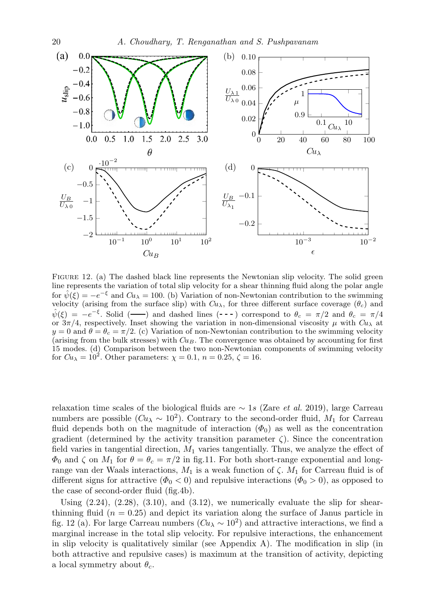

Figure 12. (a) The dashed black line represents the Newtonian slip velocity. The solid green line represents the variation of total slip velocity for a shear thinning fluid along the polar angle for  $\hat{\psi}(\xi) = -e^{-\xi}$  and  $Cu_{\lambda} = 100$ . (b) Variation of non-Newtonian contribution to the swimming velocity (arising from the surface slip) with  $Cu<sub>\lambda</sub>$ , for three different surface coverage  $(\theta_c)$  and  $\hat{\psi}(\xi) = -e^{-\xi}$ . Solid (--) and dashed lines (---) correspond to  $\theta_c = \pi/2$  and  $\theta_c = \pi/4$ or  $3\pi/4$ , respectively. Inset showing the variation in non-dimensional viscosity  $\mu$  with  $Cu_{\lambda}$  at  $y = 0$  and  $\theta = \theta_c = \pi/2$ . (c) Variation of non-Newtonian contribution to the swimming velocity (arising from the bulk stresses) with  $Cu_B$ . The convergence was obtained by accounting for first 15 modes. (d) Comparison between the two non-Newtonian components of swimming velocity for  $Cu_{\lambda} = 10^{2}$ . Other parameters:  $\chi = 0.1$ ,  $n = 0.25$ ,  $\zeta = 16$ .

relaxation time scales of the biological fluids are  $\sim 1s$  (Zare *et al.* 2019), large Carreau numbers are possible  $(Cu_{\lambda} \sim 10^2)$ . Contrary to the second-order fluid,  $M_1$  for Carreau fluid depends both on the magnitude of interaction  $(\Phi_0)$  as well as the concentration gradient (determined by the activity transition parameter  $\zeta$ ). Since the concentration field varies in tangential direction,  $M_1$  varies tangentially. Thus, we analyze the effect of  $\Phi_0$  and  $\zeta$  on  $M_1$  for  $\theta = \theta_c = \pi/2$  in fig.11. For both short-range exponential and longrange van der Waals interactions,  $M_1$  is a weak function of  $\zeta$ .  $M_1$  for Carreau fluid is of different signs for attractive ( $\Phi_0 < 0$ ) and repulsive interactions ( $\Phi_0 > 0$ ), as opposed to the case of second-order fluid (fig.4b).

Using  $(2.24)$ ,  $(2.28)$ ,  $(3.10)$ , and  $(3.12)$ , we numerically evaluate the slip for shearthinning fluid  $(n = 0.25)$  and depict its variation along the surface of Janus particle in fig. 12 (a). For large Carreau numbers  $(Cu<sub>\lambda</sub> \sim 10<sup>2</sup>)$  and attractive interactions, we find a marginal increase in the total slip velocity. For repulsive interactions, the enhancement in slip velocity is qualitatively similar (see Appendix  $A$ ). The modification in slip (in both attractive and repulsive cases) is maximum at the transition of activity, depicting a local symmetry about  $\theta_c$ .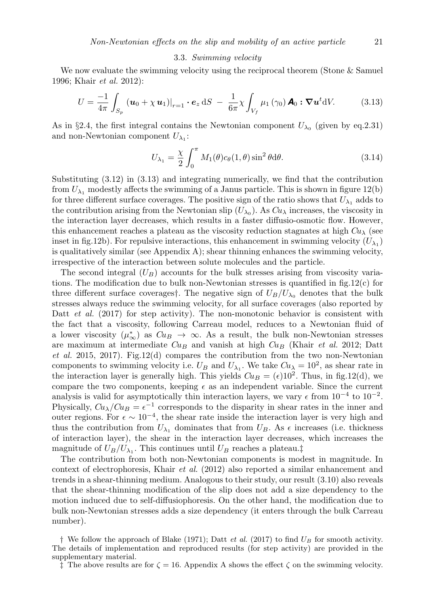#### 3.3. Swimming velocity

We now evaluate the swimming velocity using the reciprocal theorem (Stone & Samuel 1996; Khair et al. 2012):

$$
U = \frac{-1}{4\pi} \int_{S_p} \left( \boldsymbol{u}_0 + \chi \, \boldsymbol{u}_1 \right)|_{r=1} \cdot \boldsymbol{e}_z \, \mathrm{d}S \ - \ \frac{1}{6\pi} \chi \int_{V_f} \mu_1 \left( \gamma_0 \right) \boldsymbol{A}_0 : \nabla \boldsymbol{u}^t \mathrm{d}V. \tag{3.13}
$$

As in §2.4, the first integral contains the Newtonian component  $U_{\lambda_0}$  (given by eq.2.31) and non-Newtonian component  $U_{\lambda_1}$ :

$$
U_{\lambda_1} = \frac{\chi}{2} \int_0^{\pi} M_1(\theta) c_{\theta}(1,\theta) \sin^2 \theta d\theta.
$$
 (3.14)

Substituting (3.12) in (3.13) and integrating numerically, we find that the contribution from  $U_{\lambda_1}$  modestly affects the swimming of a Janus particle. This is shown in figure 12(b) for three different surface coverages. The positive sign of the ratio shows that  $U_{\lambda_1}$  adds to the contribution arising from the Newtonian slip  $(U_{\lambda_0})$ . As  $Cu_{\lambda}$  increases, the viscosity in the interaction layer decreases, which results in a faster diffusio-osmotic flow. However, this enhancement reaches a plateau as the viscosity reduction stagnates at high  $Cu<sub>\lambda</sub>$  (see inset in fig.12b). For repulsive interactions, this enhancement in swimming velocity  $(U_{\lambda_1})$ is qualitatively similar (see Appendix  $A$ ); shear thinning enhances the swimming velocity, irrespective of the interaction between solute molecules and the particle.

The second integral  $(U_B)$  accounts for the bulk stresses arising from viscosity variations. The modification due to bulk non-Newtonian stresses is quantified in fig.12(c) for three different surface coverages†. The negative sign of  $U_B/U_{\lambda_0}$  denotes that the bulk stresses always reduce the swimming velocity, for all surface coverages (also reported by Datt *et al.* (2017) for step activity). The non-monotonic behavior is consistent with the fact that a viscosity, following Carreau model, reduces to a Newtonian fluid of a lower viscosity  $(\mu^*_{\infty})$  as  $Cu_B \to \infty$ . As a result, the bulk non-Newtonian stresses are maximum at intermediate  $Cu_B$  and vanish at high  $Cu_B$  (Khair *et al.* 2012; Datt et al. 2015, 2017). Fig.12(d) compares the contribution from the two non-Newtonian components to swimming velocity i.e.  $U_B$  and  $U_{\lambda_1}$ . We take  $Cu_{\lambda} = 10^2$ , as shear rate in the interaction layer is generally high. This yields  $Cu_B = (\epsilon)10^2$ . Thus, in fig.12(d), we compare the two components, keeping  $\epsilon$  as an independent variable. Since the current analysis is valid for asymptotically thin interaction layers, we vary  $\epsilon$  from  $10^{-4}$  to  $10^{-2}$ . Physically,  $Cu$ <sub> $\lambda$ </sub> $Cu$ <sub> $B$ </sub> =  $\epsilon^{-1}$  corresponds to the disparity in shear rates in the inner and outer regions. For  $\epsilon \sim 10^{-4}$ , the shear rate inside the interaction layer is very high and thus the contribution from  $U_{\lambda_1}$  dominates that from  $U_B$ . As  $\epsilon$  increases (i.e. thickness of interaction layer), the shear in the interaction layer decreases, which increases the magnitude of  $U_B/U_{\lambda_1}$ . This continues until  $U_B$  reaches a plateau.<sup>†</sup>

The contribution from both non-Newtonian components is modest in magnitude. In context of electrophoresis, Khair et al. (2012) also reported a similar enhancement and trends in a shear-thinning medium. Analogous to their study, our result (3.10) also reveals that the shear-thinning modification of the slip does not add a size dependency to the motion induced due to self-diffusiophoresis. On the other hand, the modification due to bulk non-Newtonian stresses adds a size dependency (it enters through the bulk Carreau number).

<sup>†</sup> We follow the approach of Blake (1971); Datt *et al.* (2017) to find  $U_B$  for smooth activity. The details of implementation and reproduced results (for step activity) are provided in the supplementary material.

 $\hat{\mathcal{F}}$  The above results are for  $\zeta = 16$ . Appendix A shows the effect  $\zeta$  on the swimming velocity.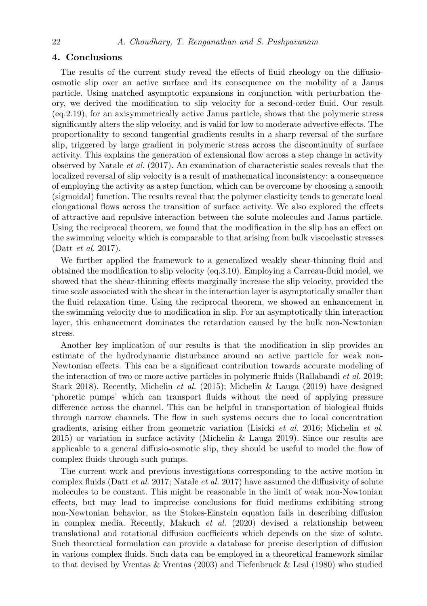# 4. Conclusions

The results of the current study reveal the effects of fluid rheology on the diffusioosmotic slip over an active surface and its consequence on the mobility of a Janus particle. Using matched asymptotic expansions in conjunction with perturbation theory, we derived the modification to slip velocity for a second-order fluid. Our result (eq.2.19), for an axisymmetrically active Janus particle, shows that the polymeric stress significantly alters the slip velocity, and is valid for low to moderate advective effects. The proportionality to second tangential gradients results in a sharp reversal of the surface slip, triggered by large gradient in polymeric stress across the discontinuity of surface activity. This explains the generation of extensional flow across a step change in activity observed by Natale et al. (2017). An examination of characteristic scales reveals that the localized reversal of slip velocity is a result of mathematical inconsistency: a consequence of employing the activity as a step function, which can be overcome by choosing a smooth (sigmoidal) function. The results reveal that the polymer elasticity tends to generate local elongational flows across the transition of surface activity. We also explored the effects of attractive and repulsive interaction between the solute molecules and Janus particle. Using the reciprocal theorem, we found that the modification in the slip has an effect on the swimming velocity which is comparable to that arising from bulk viscoelastic stresses (Datt et al. 2017).

We further applied the framework to a generalized weakly shear-thinning fluid and obtained the modification to slip velocity (eq.3.10). Employing a Carreau-fluid model, we showed that the shear-thinning effects marginally increase the slip velocity, provided the time scale associated with the shear in the interaction layer is asymptotically smaller than the fluid relaxation time. Using the reciprocal theorem, we showed an enhancement in the swimming velocity due to modification in slip. For an asymptotically thin interaction layer, this enhancement dominates the retardation caused by the bulk non-Newtonian stress.

Another key implication of our results is that the modification in slip provides an estimate of the hydrodynamic disturbance around an active particle for weak non-Newtonian effects. This can be a significant contribution towards accurate modeling of the interaction of two or more active particles in polymeric fluids (Rallabandi et al. 2019; Stark 2018). Recently, Michelin et al. (2015); Michelin & Lauga (2019) have designed 'phoretic pumps' which can transport fluids without the need of applying pressure difference across the channel. This can be helpful in transportation of biological fluids through narrow channels. The flow in such systems occurs due to local concentration gradients, arising either from geometric variation (Lisicki et al. 2016; Michelin et al. 2015) or variation in surface activity (Michelin & Lauga 2019). Since our results are applicable to a general diffusio-osmotic slip, they should be useful to model the flow of complex fluids through such pumps.

The current work and previous investigations corresponding to the active motion in complex fluids (Datt et al. 2017; Natale et al. 2017) have assumed the diffusivity of solute molecules to be constant. This might be reasonable in the limit of weak non-Newtonian effects, but may lead to imprecise conclusions for fluid mediums exhibiting strong non-Newtonian behavior, as the Stokes-Einstein equation fails in describing diffusion in complex media. Recently, Makuch et al. (2020) devised a relationship between translational and rotational diffusion coefficients which depends on the size of solute. Such theoretical formulation can provide a database for precise description of diffusion in various complex fluids. Such data can be employed in a theoretical framework similar to that devised by Vrentas & Vrentas (2003) and Tiefenbruck & Leal (1980) who studied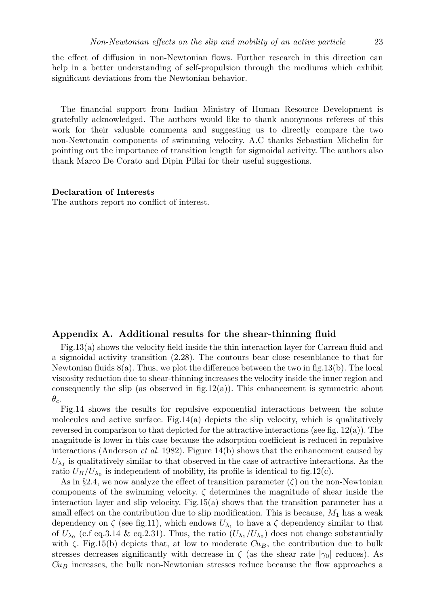the effect of diffusion in non-Newtonian flows. Further research in this direction can help in a better understanding of self-propulsion through the mediums which exhibit significant deviations from the Newtonian behavior.

The financial support from Indian Ministry of Human Resource Development is gratefully acknowledged. The authors would like to thank anonymous referees of this work for their valuable comments and suggesting us to directly compare the two non-Newtonain components of swimming velocity. A.C thanks Sebastian Michelin for pointing out the importance of transition length for sigmoidal activity. The authors also thank Marco De Corato and Dipin Pillai for their useful suggestions.

#### Declaration of Interests

The authors report no conflict of interest.

# Appendix A. Additional results for the shear-thinning fluid

Fig.13(a) shows the velocity field inside the thin interaction layer for Carreau fluid and a sigmoidal activity transition (2.28). The contours bear close resemblance to that for Newtonian fluids 8(a). Thus, we plot the difference between the two in fig.13(b). The local viscosity reduction due to shear-thinning increases the velocity inside the inner region and consequently the slip (as observed in  $fig.12(a)$ ). This enhancement is symmetric about  $\theta_c$ .

Fig.14 shows the results for repulsive exponential interactions between the solute molecules and active surface. Fig.14(a) depicts the slip velocity, which is qualitatively reversed in comparison to that depicted for the attractive interactions (see fig.  $12(a)$ ). The magnitude is lower in this case because the adsorption coefficient is reduced in repulsive interactions (Anderson *et al.* 1982). Figure 14(b) shows that the enhancement caused by  $U_{\lambda_I}$  is qualitatively similar to that observed in the case of attractive interactions. As the ratio  $U_B/U_{\lambda_0}$  is independent of mobility, its profile is identical to fig.12(c).

As in §2.4, we now analyze the effect of transition parameter  $(\zeta)$  on the non-Newtonian components of the swimming velocity.  $\zeta$  determines the magnitude of shear inside the interaction layer and slip velocity. Fig.15(a) shows that the transition parameter has a small effect on the contribution due to slip modification. This is because,  $M_1$  has a weak dependency on  $\zeta$  (see fig.11), which endows  $U_{\lambda_1}$  to have a  $\zeta$  dependency similar to that of  $U_{\lambda_0}$  (c.f eq.3.14 & eq.2.31). Thus, the ratio  $(U_{\lambda_1}/U_{\lambda_0})$  does not change substantially with  $\zeta$ . Fig.15(b) depicts that, at low to moderate  $Cu_B$ , the contribution due to bulk stresses decreases significantly with decrease in  $\zeta$  (as the shear rate  $|\gamma_0|$  reduces). As  $Cu<sub>B</sub>$  increases, the bulk non-Newtonian stresses reduce because the flow approaches a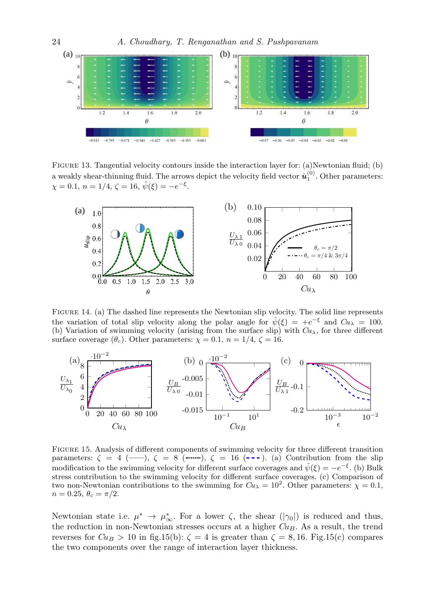

FIGURE 13. Tangential velocity contours inside the interaction layer for: (a)Newtonian fluid; (b) a weakly shear-thinning fluid. The arrows depict the velocity field vector  $\hat{u}_1^{(0)}$ . Other parameters:  $\chi = 0.1, n = 1/4, \zeta = 16, \hat{\psi}(\xi) = -e^{-\xi}.$ 



Figure 14. (a) The dashed line represents the Newtonian slip velocity. The solid line represents the variation of total slip velocity along the polar angle for  $\hat{\psi}(\xi) = +e^{-\xi}$  and  $Cu_{\lambda} = 100$ . (b) Variation of swimming velocity (arising from the surface slip) with  $Cu<sub>\lambda</sub>$ , for three different surface coverage  $(\theta_c)$ . Other parameters:  $\chi = 0.1$ ,  $n = 1/4$ ,  $\zeta = 16$ .



Figure 15. Analysis of different components of swimming velocity for three different transition parameters:  $\zeta = 4$  (--),  $\zeta = 8$  (  $\ldots$ ,  $\zeta = 16$  (---). (a) Contribution from the slip modification to the swimming velocity for different surface coverages and  $\hat{\psi}(\xi) = -e^{-\xi}$ . (b) Bulk stress contribution to the swimming velocity for different surface coverages. (c) Comparison of two non-Newtonian contributions to the swimming for  $Cu$ <sub> $\lambda$ </sub> = 10<sup>2</sup>. Other parameters:  $\chi$  = 0.1,  $n = 0.25, \theta_c = \pi/2.$ 

Newtonian state i.e.  $\mu^* \to \mu^*_{\infty}$ . For a lower  $\zeta$ , the shear  $(|\gamma_0|)$  is reduced and thus, the reduction in non-Newtonian stresses occurs at a higher  $Cu<sub>B</sub>$ . As a result, the trend reverses for  $Cu_B > 10$  in fig.15(b):  $\zeta = 4$  is greater than  $\zeta = 8, 16$ . Fig.15(c) compares the two components over the range of interaction layer thickness.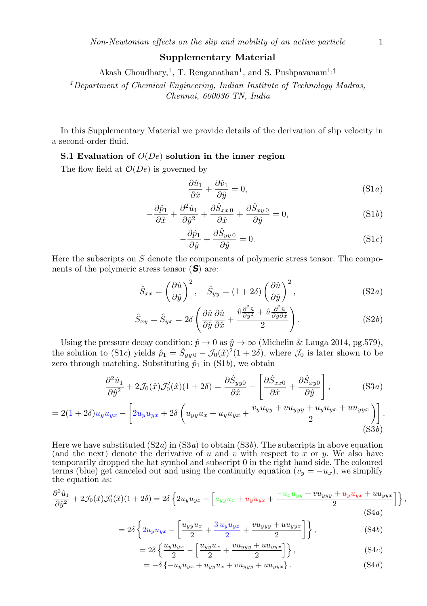## Supplementary Material

Akash Choudhary,<sup>1</sup>, T. Renganathan<sup>1</sup>, and S. Pushpavanam<sup>1,†</sup>

<sup>1</sup>Department of Chemical Engineering, Indian Institute of Technology Madras, Chennai, 600036 TN, India

In this Supplementary Material we provide details of the derivation of slip velocity in a second-order fluid.

# S.1 Evaluation of  $O(De)$  solution in the inner region

The flow field at  $\mathcal{O}(De)$  is governed by

$$
\frac{\partial \hat{u}_1}{\partial \hat{x}} + \frac{\partial \hat{v}_1}{\partial \hat{y}} = 0, \tag{S1a}
$$

$$
-\frac{\partial \hat{p}_1}{\partial \hat{x}} + \frac{\partial^2 \hat{u}_1}{\partial \hat{y}^2} + \frac{\partial \hat{S}_{xx0}}{\partial \hat{x}} + \frac{\partial \hat{S}_{xy0}}{\partial \hat{y}} = 0,
$$
 (S1*b*)

$$
-\frac{\partial \hat{p}_1}{\partial \hat{y}} + \frac{\partial \hat{S}_{yy}}{\partial \hat{y}} = 0.
$$
 (S1*c*)

Here the subscripts on  $S$  denote the components of polymeric stress tensor. The components of the polymeric stress tensor (*S*) are:

$$
\hat{S}_{xx} = \left(\frac{\partial \hat{u}}{\partial \hat{y}}\right)^2, \quad \hat{S}_{yy} = (1+2\delta) \left(\frac{\partial \hat{u}}{\partial \hat{y}}\right)^2, \tag{S2a}
$$

$$
\hat{S}_{xy} = \hat{S}_{yx} = 2\delta \left( \frac{\partial \hat{u}}{\partial \hat{y}} \frac{\partial \hat{u}}{\partial \hat{x}} + \frac{\hat{v}\frac{\partial^2 \hat{u}}{\partial \hat{y}^2} + \hat{u}\frac{\partial^2 \hat{u}}{\partial \hat{y}\partial \hat{x}}}{2} \right).
$$
 (S2*b*)

Using the pressure decay condition:  $\hat{p} \to 0$  as  $\hat{y} \to \infty$  (Michelin & Lauga 2014, pg.579), the solution to (S1c) yields  $\hat{p}_1 = \hat{S}_{yy\,0} - \mathcal{J}_0(\hat{x})^2(1+2\delta)$ , where  $\mathcal{J}_0$  is later shown to be zero through matching. Substituting  $\hat{p}_1$  in (S1b), we obtain

$$
\frac{\partial^2 \hat{u}_1}{\partial \hat{y}^2} + 2\mathcal{J}_0(\hat{x})\mathcal{J}'_0(\hat{x})(1+2\delta) = \frac{\partial \hat{S}_{yy0}}{\partial \hat{x}} - \left[\frac{\partial \hat{S}_{xx0}}{\partial \hat{x}} + \frac{\partial \hat{S}_{xy0}}{\partial \hat{y}}\right],\tag{S3a}
$$
\n
$$
= 2(1+2\delta)u_yu_{yx} - \left[2u_yu_{yx} + 2\delta\left(u_{yy}u_x + u_yu_{yx} + \frac{v_yu_{yy} + vu_{yyy} + u_yu_{yx} + uu_{yyx}}{2}\right)\right].\tag{S3b}
$$

Here we have substituted  $(S2a)$  in  $(S3a)$  to obtain  $(S3b)$ . The subscripts in above equation (and the next) denote the derivative of u and v with respect to x or y. We also have temporarily dropped the hat symbol and subscript 0 in the right hand side. The coloured terms (blue) get canceled out and using the continuity equation  $(v_y = -u_x)$ , we simplify the equation as:

$$
\frac{\partial^2 \hat{u}_1}{\partial \hat{y}^2} + 2\mathcal{J}_0(\hat{x})\mathcal{J}_0'(\hat{x})(1+2\delta) = 2\delta \left\{ 2u_y u_{yx} - \left[ u_{yy} u_x + u_y u_{yx} + \frac{-u_x u_{yy} + v u_{yyy} + u_y u_{yx} + u u_{yyy} + u_{yy} u_{yy} + u_{yy} u_{yy} + u_{yy} u_{yy} \right] \right\},\tag{S4a}
$$

$$
=2\delta\left\{2u_yu_{yx}-\left[\frac{u_{yy}u_x}{2}+\frac{3u_yu_{yx}}{2}+\frac{vu_{yyy}+uu_{yyy}}{2}\right]\right\},\qquad (S4b)
$$

$$
=2\delta\left\{\frac{u_yu_{yx}}{2}-\left[\frac{u_{yy}u_x}{2}+\frac{vu_{yyy}+uu_{yyy}}{2}\right]\right\},\tag{S4c}
$$

$$
= -\delta \left\{-u_y u_{yx} + u_{yy} u_x + v u_{yyy} + u u_{yyy}\right\}.
$$
 (S4*d*)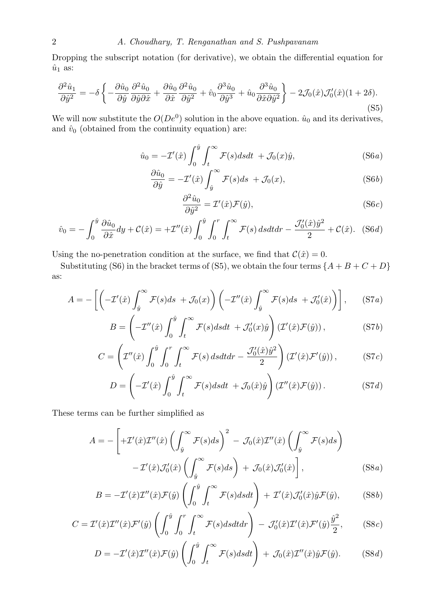Dropping the subscript notation (for derivative), we obtain the differential equation for  $\hat{u}_1$  as:

$$
\frac{\partial^2 \hat{u}_1}{\partial \hat{y}^2} = -\delta \left\{ -\frac{\partial \hat{u}_0}{\partial \hat{y}} \frac{\partial^2 \hat{u}_0}{\partial \hat{y} \partial \hat{x}} + \frac{\partial \hat{u}_0}{\partial \hat{x}} \frac{\partial^2 \hat{u}_0}{\partial \hat{y}^2} + \hat{v}_0 \frac{\partial^3 \hat{u}_0}{\partial \hat{y}^3} + \hat{u}_0 \frac{\partial^3 \hat{u}_0}{\partial \hat{x} \partial \hat{y}^2} \right\} - 2\mathcal{J}_0(\hat{x}) \mathcal{J}_0'(\hat{x}) (1 + 2\delta). \tag{S5}
$$

We will now substitute the  $O(De^0)$  solution in the above equation.  $\hat{u}_0$  and its derivatives, and  $\hat{v}_0$  (obtained from the continuity equation) are:

$$
\hat{u}_0 = -\mathcal{I}'(\hat{x}) \int_0^{\hat{y}} \int_t^{\infty} \mathcal{F}(s) ds dt + \mathcal{J}_0(x)\hat{y},
$$
\n(S6*a*)

$$
\frac{\partial \hat{u}_0}{\partial \hat{y}} = -\mathcal{I}'(\hat{x}) \int_{\hat{y}}^{\infty} \mathcal{F}(s) ds + \mathcal{J}_0(x), \tag{S6b}
$$

$$
\frac{\partial^2 \hat{u}_0}{\partial \hat{y}^2} = \mathcal{I}'(\hat{x}) \mathcal{F}(\hat{y}),\tag{S6c}
$$

$$
\hat{v}_0 = -\int_0^{\hat{y}} \frac{\partial \hat{u}_0}{\partial \hat{x}} dy + \mathcal{C}(\hat{x}) = +\mathcal{I}''(\hat{x}) \int_0^{\hat{y}} \int_0^r \int_t^\infty \mathcal{F}(s) \, ds dt dr - \frac{\mathcal{J}_0'(\hat{x}) \hat{y}^2}{2} + \mathcal{C}(\hat{x}). \tag{S6d}
$$

Using the no-penetration condition at the surface, we find that  $\mathcal{C}(\hat{x}) = 0$ .

Substituting (S6) in the bracket terms of (S5), we obtain the four terms  $\{A + B + C + D\}$ as:

$$
A = -\left[ \left( -\mathcal{I}'(\hat{x}) \int_{\hat{y}}^{\infty} \mathcal{F}(s) ds + \mathcal{J}_0(x) \right) \left( -\mathcal{I}''(\hat{x}) \int_{\hat{y}}^{\infty} \mathcal{F}(s) ds + \mathcal{J}'_0(\hat{x}) \right) \right], \quad (S7a)
$$

$$
B = \left(-\mathcal{I}''(\hat{x})\int_0^{\hat{y}}\int_t^{\infty}\mathcal{F}(s)dsdt + \mathcal{J}'_0(x)\hat{y}\right)\left(\mathcal{I}'(\hat{x})\mathcal{F}(\hat{y})\right),\tag{S7b}
$$

$$
C = \left(\mathcal{I}''(\hat{x}) \int_0^{\hat{y}} \int_0^r \int_t^\infty \mathcal{F}(s) \, ds dt dr - \frac{\mathcal{J}'_0(\hat{x}) \hat{y}^2}{2}\right) \left(\mathcal{I}'(\hat{x}) \mathcal{F}'(\hat{y})\right),\tag{S7c}
$$

$$
D = \left(-\mathcal{I}'(\hat{x})\int_0^{\hat{y}}\int_t^{\infty}\mathcal{F}(s)dsdt + \mathcal{J}_0(\hat{x})\hat{y}\right)\left(\mathcal{I}''(\hat{x})\mathcal{F}(\hat{y})\right). \tag{S7d}
$$

These terms can be further simplified as

$$
A = -\left[ +\mathcal{I}'(\hat{x})\mathcal{I}''(\hat{x})\left(\int_{\hat{y}}^{\infty} \mathcal{F}(s)ds\right)^{2} - \mathcal{J}_{0}(\hat{x})\mathcal{I}''(\hat{x})\left(\int_{\hat{y}}^{\infty} \mathcal{F}(s)ds\right) - \mathcal{I}'(\hat{x})\mathcal{J}'_{0}(\hat{x})\left(\int_{\hat{y}}^{\infty} \mathcal{F}(s)ds\right) + \mathcal{J}_{0}(\hat{x})\mathcal{J}'_{0}(\hat{x})\right],
$$
\n(S8a)

$$
B = -\mathcal{I}'(\hat{x})\mathcal{I}''(\hat{x})\mathcal{F}(\hat{y})\left(\int_0^{\hat{y}} \int_t^{\infty} \mathcal{F}(s)dsdt\right) + \mathcal{I}'(\hat{x})\mathcal{J}'_0(\hat{x})\hat{y}\mathcal{F}(\hat{y}),\tag{S8b}
$$

$$
C = \mathcal{I}'(\hat{x})\mathcal{I}''(\hat{x})\mathcal{F}'(\hat{y})\left(\int_0^{\hat{y}} \int_0^r \int_t^\infty \mathcal{F}(s)dsdt dr\right) - \mathcal{J}'_0(\hat{x})\mathcal{I}'(\hat{x})\mathcal{F}'(\hat{y})\frac{\hat{y}^2}{2},\qquad (S8c)
$$

$$
D = -\mathcal{I}'(\hat{x})\mathcal{I}''(\hat{x})\mathcal{F}(\hat{y})\left(\int_0^{\hat{y}} \int_t^{\infty} \mathcal{F}(s)dsdt\right) + \mathcal{J}_0(\hat{x})\mathcal{I}''(\hat{x})\hat{y}\mathcal{F}(\hat{y}).
$$
 (S8*d*)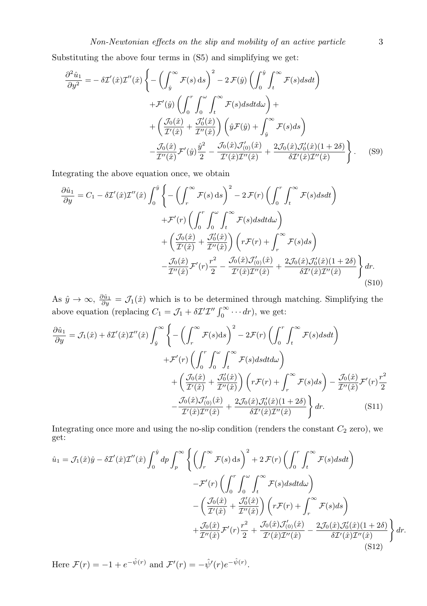Substituting the above four terms in (S5) and simplifying we get:

$$
\frac{\partial^2 \hat{u}_1}{\partial y^2} = -\delta \mathcal{I}'(\hat{x}) \mathcal{I}''(\hat{x}) \left\{ -\left( \int_{\hat{y}}^{\infty} \mathcal{F}(s) \, ds \right)^2 - 2 \mathcal{F}(\hat{y}) \left( \int_{0}^{\hat{y}} \int_{t}^{\infty} \mathcal{F}(s) ds dt \right) \right.\left. + \mathcal{F}'(\hat{y}) \left( \int_{0}^{r} \int_{0}^{\infty} \int_{t}^{\infty} \mathcal{F}(s) ds dt d\omega \right) + \left( \frac{\mathcal{J}_0(\hat{x})}{\mathcal{I}'(\hat{x})} + \frac{\mathcal{J}'_0(\hat{x})}{\mathcal{I}''(\hat{x})} \right) \left( \hat{y} \mathcal{F}(\hat{y}) + \int_{\hat{y}}^{\infty} \mathcal{F}(s) ds \right) \right.\left. - \frac{\mathcal{J}_0(\hat{x})}{\mathcal{I}''(\hat{x})} \mathcal{F}'(\hat{y}) \frac{\hat{y}^2}{2} - \frac{\mathcal{J}_0(\hat{x}) \mathcal{J}'_{(0)}(\hat{x})}{\mathcal{I}'(\hat{x}) \mathcal{I}''(\hat{x})} + \frac{2 \mathcal{J}_0(\hat{x}) \mathcal{J}'_0(\hat{x}) (1 + 2\delta)}{\delta \mathcal{I}'(\hat{x}) \mathcal{I}''(\hat{x})} \right\}.
$$
 (S9)

Integrating the above equation once, we obtain

$$
\frac{\partial \hat{u}_1}{\partial y} = C_1 - \delta \mathcal{I}'(\hat{x}) \mathcal{I}''(\hat{x}) \int_0^{\hat{y}} \left\{ -\left( \int_r^{\infty} \mathcal{F}(s) \, ds \right)^2 - 2 \mathcal{F}(r) \left( \int_0^r \int_t^{\infty} \mathcal{F}(s) ds dt \right) \right.\left. + \mathcal{F}'(r) \left( \int_0^r \int_0^{\omega} \int_t^{\infty} \mathcal{F}(s) ds dt d\omega \right) \right.\left. + \left( \frac{\mathcal{J}_0(\hat{x})}{\mathcal{I}'(\hat{x})} + \frac{\mathcal{J}'_0(\hat{x})}{\mathcal{I}''(\hat{x})} \right) \left( r \mathcal{F}(r) + \int_r^{\infty} \mathcal{F}(s) ds \right) \right.\left. - \frac{\mathcal{J}_0(\hat{x})}{\mathcal{I}''(\hat{x})} \mathcal{F}'(r) \frac{r^2}{2} - \frac{\mathcal{J}_0(\hat{x}) \mathcal{J}'_0(\hat{x})}{\mathcal{I}'(\hat{x}) \mathcal{I}''(\hat{x})} + \frac{2 \mathcal{J}_0(\hat{x}) \mathcal{J}'_0(\hat{x}) (1 + 2\delta)}{\delta \mathcal{I}'(\hat{x}) \mathcal{I}''(\hat{x})} \right\} dr.
$$
\n(S10)

As  $\hat{y} \to \infty$ ,  $\frac{\partial \hat{u}_1}{\partial y} = \mathcal{J}_1(\hat{x})$  which is to be determined through matching. Simplifying the above equation (replacing  $C_1 = \mathcal{J}_1 + \delta \mathcal{I}' \mathcal{I}'' \int_0^\infty \cdots dr$ ), we get:

$$
\frac{\partial \hat{u}_1}{\partial y} = \mathcal{J}_1(\hat{x}) + \delta \mathcal{I}'(\hat{x}) \mathcal{I}''(\hat{x}) \int_{\hat{y}}^{\infty} \left\{ -\left( \int_r^{\infty} \mathcal{F}(s) ds \right)^2 - 2\mathcal{F}(r) \left( \int_0^r \int_t^{\infty} \mathcal{F}(s) ds dt \right) \right.\left. + \mathcal{F}'(r) \left( \int_0^r \int_0^{\infty} \int_t^{\infty} \mathcal{F}(s) ds dt d\omega \right) \right.\left. + \left( \frac{\mathcal{J}_0(\hat{x})}{\mathcal{I}'(\hat{x})} + \frac{\mathcal{J}_0'(\hat{x})}{\mathcal{I}'(\hat{x})} \right) \left( r \mathcal{F}(r) + \int_r^{\infty} \mathcal{F}(s) ds \right) - \frac{\mathcal{J}_0(\hat{x})}{\mathcal{I}'(\hat{x})} \mathcal{F}'(r) \frac{r^2}{2}- \frac{\mathcal{J}_0(\hat{x}) \mathcal{J}'(0)(\hat{x})}{\mathcal{I}'(\hat{x}) \mathcal{I}''(\hat{x})} + \frac{2\mathcal{J}_0(\hat{x}) \mathcal{J}_0'(\hat{x})(1+2\delta)}{\delta \mathcal{I}'(\hat{x}) \mathcal{I}''(\hat{x})} \right\} dr.
$$
\n(S11)

Integrating once more and using the no-slip condition (renders the constant  $C_2$  zero), we get:

$$
\hat{u}_1 = \mathcal{J}_1(\hat{x})\hat{y} - \delta \mathcal{I}'(\hat{x})\mathcal{I}''(\hat{x}) \int_0^{\hat{y}} dp \int_p^{\infty} \left\{ \left( \int_r^{\infty} \mathcal{F}(s) ds \right)^2 + 2 \mathcal{F}(r) \left( \int_0^r \int_t^{\infty} \mathcal{F}(s) ds dt \right) - \mathcal{F}'(r) \left( \int_0^r \int_0^{\infty} \int_t^{\infty} \mathcal{F}(s) ds dt d\omega \right) - \left( \frac{\mathcal{J}_0(\hat{x})}{\mathcal{I}'(\hat{x})} + \frac{\mathcal{J}'_0(\hat{x})}{\mathcal{I}'(\hat{x})} \right) \left( r \mathcal{F}(r) + \int_r^{\infty} \mathcal{F}(s) ds \right) + \frac{\mathcal{J}_0(\hat{x})}{\mathcal{I}'(\hat{x})} \mathcal{F}'(r) \frac{r^2}{2} + \frac{\mathcal{J}_0(\hat{x})\mathcal{J}'_0(\hat{x})}{\mathcal{I}'(\hat{x})\mathcal{I}''(\hat{x})} - \frac{2 \mathcal{J}_0(\hat{x})\mathcal{J}'_0(\hat{x})(1+2\delta)}{\delta \mathcal{I}'(\hat{x})\mathcal{I}''(\hat{x})} \right\} dr.
$$
\n(S12)

Here  $\mathcal{F}(r) = -1 + e^{-\hat{\psi}(r)}$  and  $\mathcal{F}'(r) = -\hat{\psi}'(r)e^{-\hat{\psi}(r)}$ .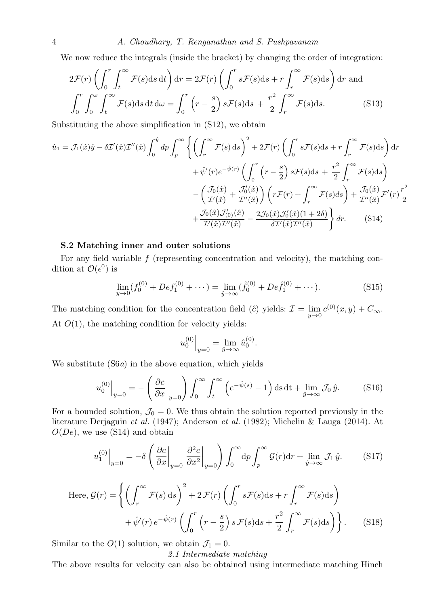4 A. Choudhary, T. Renganathan and S. Pushpavanam

We now reduce the integrals (inside the bracket) by changing the order of integration:

$$
2\mathcal{F}(r)\left(\int_0^r \int_t^\infty \mathcal{F}(s)ds\,dt\right)dr = 2\mathcal{F}(r)\left(\int_0^r s\mathcal{F}(s)ds + r\int_r^\infty \mathcal{F}(s)ds\right)dr \text{ and}
$$

$$
\int_0^r \int_0^\infty \int_t^\infty \mathcal{F}(s)ds\,dt\,d\omega = \int_0^r \left(r - \frac{s}{2}\right)s\mathcal{F}(s)ds + \frac{r^2}{2}\int_r^\infty \mathcal{F}(s)ds. \tag{S13}
$$

Substituting the above simplification in (S12), we obtain

$$
\hat{u}_1 = \mathcal{J}_1(\hat{x})\hat{y} - \delta \mathcal{I}'(\hat{x})\mathcal{I}''(\hat{x}) \int_0^{\hat{y}} dp \int_p^{\infty} \left\{ \left( \int_r^{\infty} \mathcal{F}(s) ds \right)^2 + 2\mathcal{F}(r) \left( \int_0^r s\mathcal{F}(s) ds + r \int_r^{\infty} \mathcal{F}(s) ds \right) dr \n+ \hat{\psi}'(r)e^{-\hat{\psi}(r)} \left( \int_0^r \left( r - \frac{s}{2} \right) s\mathcal{F}(s) ds + \frac{r^2}{2} \int_r^{\infty} \mathcal{F}(s) ds \right) \n- \left( \frac{\mathcal{J}_0(\hat{x})}{\mathcal{I}'(\hat{x})} + \frac{\mathcal{J}'_0(\hat{x})}{\mathcal{I}''(\hat{x})} \right) \left( r\mathcal{F}(r) + \int_r^{\infty} \mathcal{F}(s) ds \right) + \frac{\mathcal{J}_0(\hat{x})}{\mathcal{I}''(\hat{x})} \mathcal{F}'(r) \frac{r^2}{2} \n+ \frac{\mathcal{J}_0(\hat{x})\mathcal{J}'_{(0)}(\hat{x})}{\mathcal{I}'(\hat{x})\mathcal{I}''(\hat{x})} - \frac{2\mathcal{J}_0(\hat{x})\mathcal{J}'_0(\hat{x})(1+2\delta)}{\delta \mathcal{I}'(\hat{x})\mathcal{I}''(\hat{x})} dr.
$$
\n(S14)

# S.2 Matching inner and outer solutions

For any field variable  $f$  (representing concentration and velocity), the matching condition at  $\mathcal{O}(\epsilon^0)$  is

$$
\lim_{y \to 0} (f_0^{(0)} + Def_1^{(0)} + \cdots) = \lim_{\hat{y} \to \infty} (\hat{f}_0^{(0)} + Def_1^{(0)} + \cdots).
$$
 (S15)

The matching condition for the concentration field ( $\hat{c}$ ) yields:  $\mathcal{I} = \lim_{y \to 0} c^{(0)}(x, y) + C_{\infty}$ . At  $O(1)$ , the matching condition for velocity yields:

$$
u_0^{(0)}\Big|_{y=0} = \lim_{\hat{y}\to\infty} \hat{u}_0^{(0)}.
$$

We substitute (S6a) in the above equation, which yields

$$
u_0^{(0)}\Big|_{y=0} = -\left(\frac{\partial c}{\partial x}\Big|_{y=0}\right) \int_0^\infty \int_t^\infty \left(e^{-\hat{\psi}(s)} - 1\right) \mathrm{d}s \,\mathrm{d}t + \lim_{\hat{y}\to\infty} \mathcal{J}_0 \,\hat{y}.\tag{S16}
$$

For a bounded solution,  $\mathcal{J}_0 = 0$ . We thus obtain the solution reported previously in the literature Derjaguin et al. (1947); Anderson et al. (1982); Michelin & Lauga (2014). At  $O(De)$ , we use (S14) and obtain

$$
u_1^{(0)}\Big|_{y=0} = -\delta \left(\left.\frac{\partial c}{\partial x}\right|_{y=0} \left.\frac{\partial^2 c}{\partial x^2}\right|_{y=0}\right) \int_0^\infty dp \int_p^\infty \mathcal{G}(r)dr + \lim_{\hat{y}\to\infty} \mathcal{J}_1\hat{y}.\tag{S17}
$$

Here, 
$$
\mathcal{G}(r) = \left\{ \left( \int_r^{\infty} \mathcal{F}(s) \, ds \right)^2 + 2 \mathcal{F}(r) \left( \int_0^r s \mathcal{F}(s) \, ds + r \int_r^{\infty} \mathcal{F}(s) \, ds \right) + \hat{\psi}'(r) \, e^{-\hat{\psi}(r)} \left( \int_0^r \left( r - \frac{s}{2} \right) s \, \mathcal{F}(s) \, ds + \frac{r^2}{2} \int_r^{\infty} \mathcal{F}(s) \, ds \right) \right\}.
$$
 (S18)

Similar to the  $O(1)$  solution, we obtain  $\mathcal{J}_1 = 0$ .

2.1 Intermediate matching

The above results for velocity can also be obtained using intermediate matching Hinch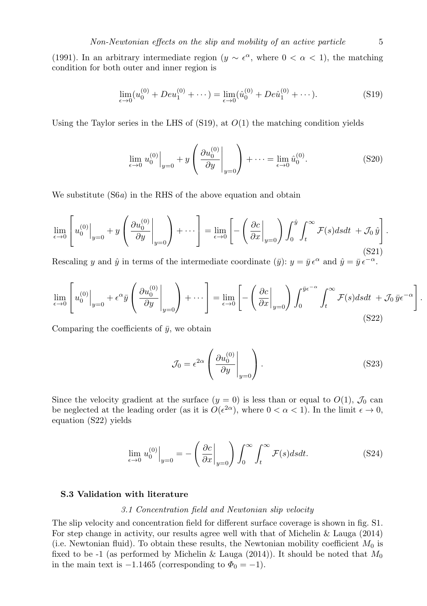(1991). In an arbitrary intermediate region ( $y \sim \epsilon^{\alpha}$ , where  $0 < \alpha < 1$ ), the matching condition for both outer and inner region is

$$
\lim_{\epsilon \to 0} (u_0^{(0)} + Deu_1^{(0)} + \cdots) = \lim_{\epsilon \to 0} (\hat{u}_0^{(0)} + De\hat{u}_1^{(0)} + \cdots). \tag{S19}
$$

Using the Taylor series in the LHS of  $(S19)$ , at  $O(1)$  the matching condition yields

$$
\lim_{\epsilon \to 0} u_0^{(0)} \Big|_{y=0} + y \left( \frac{\partial u_0^{(0)}}{\partial y} \Big|_{y=0} \right) + \dots = \lim_{\epsilon \to 0} \hat{u}_0^{(0)}.
$$
 (S20)

We substitute  $(S6a)$  in the RHS of the above equation and obtain

$$
\lim_{\epsilon \to 0} \left[ u_0^{(0)} \Big|_{y=0} + y \left( \frac{\partial u_0^{(0)}}{\partial y} \Big|_{y=0} \right) + \cdots \right] = \lim_{\epsilon \to 0} \left[ - \left( \frac{\partial c}{\partial x} \Big|_{y=0} \right) \int_0^{\hat{y}} \int_t^{\infty} \mathcal{F}(s) ds dt + \mathcal{J}_0 \hat{y} \right].
$$
\n(S21)

Rescaling y and  $\hat{y}$  in terms of the intermediate coordinate  $(\bar{y})$ :  $y = \bar{y} \epsilon^{\alpha}$  and  $\hat{y} = \bar{y} \epsilon^{-\alpha}$ .

$$
\lim_{\epsilon \to 0} \left[ u_0^{(0)} \Big|_{y=0} + \epsilon^{\alpha} \bar{y} \left( \frac{\partial u_0^{(0)}}{\partial y} \Big|_{y=0} \right) + \cdots \right] = \lim_{\epsilon \to 0} \left[ - \left( \frac{\partial c}{\partial x} \Big|_{y=0} \right) \int_0^{\bar{y} \epsilon^{-\alpha}} \int_t^{\infty} \mathcal{F}(s) ds dt + \mathcal{J}_0 \, \bar{y} \epsilon^{-\alpha} \right]
$$
\n(S22)

Comparing the coefficients of  $\bar{y}$ , we obtain

$$
\mathcal{J}_0 = \epsilon^{2\alpha} \left( \left. \frac{\partial u_0^{(0)}}{\partial y} \right|_{y=0} \right). \tag{S23}
$$

Since the velocity gradient at the surface  $(y = 0)$  is less than or equal to  $O(1)$ ,  $\mathcal{J}_0$  can be neglected at the leading order (as it is  $O(\epsilon^{2\alpha})$ , where  $0 < \alpha < 1$ ). In the limit  $\epsilon \to 0$ , equation (S22) yields

$$
\lim_{\epsilon \to 0} u_0^{(0)} \Big|_{y=0} = -\left( \frac{\partial c}{\partial x} \Big|_{y=0} \right) \int_0^\infty \int_t^\infty \mathcal{F}(s) ds dt. \tag{S24}
$$

## S.3 Validation with literature

## 3.1 Concentration field and Newtonian slip velocity

The slip velocity and concentration field for different surface coverage is shown in fig. S1. For step change in activity, our results agree well with that of Michelin & Lauga (2014) (i.e. Newtonian fluid). To obtain these results, the Newtonian mobility coefficient  $M_0$  is fixed to be -1 (as performed by Michelin & Lauga (2014)). It should be noted that  $M_0$ in the main text is  $-1.1465$  (corresponding to  $\Phi_0 = -1$ ).

.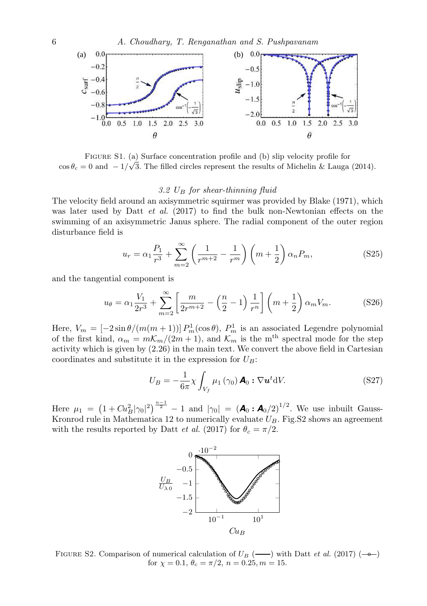

Figure S1. (a) Surface concentration profile and (b) slip velocity profile for  $\cos \theta_c = 0$  and  $-1/\sqrt{3}$ . The filled circles represent the results of Michelin & Lauga (2014).

## 3.2  $U_B$  for shear-thinning fluid

The velocity field around an axisymmetric squirmer was provided by Blake (1971), which was later used by Datt  $et \, al. \, (2017)$  to find the bulk non-Newtonian effects on the swimming of an axisymmetric Janus sphere. The radial component of the outer region disturbance field is

$$
u_r = \alpha_1 \frac{P_1}{r^3} + \sum_{m=2}^{\infty} \left( \frac{1}{r^{m+2}} - \frac{1}{r^m} \right) \left( m + \frac{1}{2} \right) \alpha_n P_m,
$$
 (S25)

and the tangential component is

$$
u_{\theta} = \alpha_1 \frac{V_1}{2r^3} + \sum_{m=2}^{\infty} \left[ \frac{m}{2r^{m+2}} - \left( \frac{n}{2} - 1 \right) \frac{1}{r^n} \right] \left( m + \frac{1}{2} \right) \alpha_m V_m.
$$
 (S26)

Here,  $V_m = \left[-2\sin\theta/(m(m+1))\right] P_m^1(\cos\theta)$ ,  $P_m^1$  is an associated Legendre polynomial of the first kind,  $\alpha_m = m\mathcal{K}_m/(2m+1)$ , and  $\mathcal{K}_m$  is the m<sup>th</sup> spectral mode for the step activity which is given by (2.26) in the main text. We convert the above field in Cartesian coordinates and substitute it in the expression for  $U_B$ :

$$
U_B = -\frac{1}{6\pi} \chi \int_{V_f} \mu_1 \left( \gamma_0 \right) \mathbf{A}_0 : \nabla \mathbf{u}^t \mathrm{d} V. \tag{S27}
$$

Here  $\mu_1 = (1 + Cu_B^2 | \gamma_0 |^2)^{\frac{n-1}{2}} - 1$  and  $|\gamma_0| = (A_0 : A_0/2)^{1/2}$ . We use inbuilt Gauss-Kronrod rule in Mathematica 12 to numerically evaluate  $U_B$ . Fig.S2 shows an agreement with the results reported by Datt *et al.* (2017) for  $\theta_c = \pi/2$ .



FIGURE S2. Comparison of numerical calculation of  $U_B$  (--) with Datt *et al.* (2017) (--) for  $\chi = 0.1, \theta_c = \pi/2, n = 0.25, m = 15.$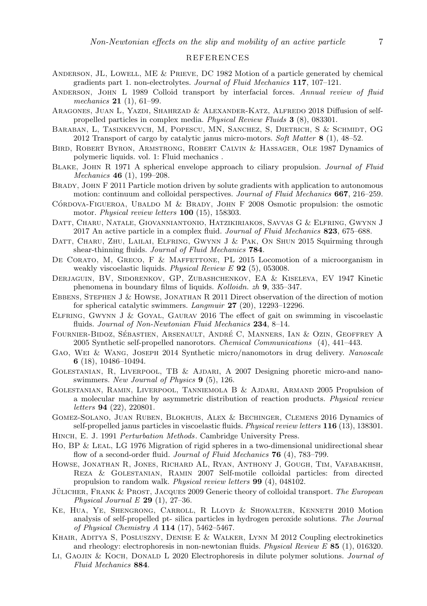## REFERENCES

- ANDERSON, JL, LOWELL, ME  $&$  PRIEVE, DC 1982 Motion of a particle generated by chemical gradients part 1. non-electrolytes. *Journal of Fluid Mechanics* 117, 107–121.
- Anderson, John L 1989 Colloid transport by interfacial forces. *Annual review of fluid mechanics* 21 (1), 61–99.
- Aragones, Juan L, Yazdi, Shahrzad & Alexander-Katz, Alfredo 2018 Diffusion of selfpropelled particles in complex media. *Physical Review Fluids* 3 (8), 083301.
- Baraban, L, Tasinkevych, M, Popescu, MN, Sanchez, S, Dietrich, S & Schmidt, OG 2012 Transport of cargo by catalytic janus micro-motors. *Soft Matter* 8 (1), 48–52.
- Bird, Robert Byron, Armstrong, Robert Calvin & Hassager, Ole 1987 Dynamics of polymeric liquids. vol. 1: Fluid mechanics .
- Blake, John R 1971 A spherical envelope approach to ciliary propulsion. *Journal of Fluid Mechanics* 46 (1), 199–208.
- BRADY, JOHN F 2011 Particle motion driven by solute gradients with application to autonomous motion: continuum and colloidal perspectives. *Journal of Fluid Mechanics* 667, 216–259.
- CÓRDOVA-FIGUEROA, UBALDO M & BRADY, JOHN F  $2008$  Osmotic propulsion: the osmotic motor. *Physical review letters* 100 (15), 158303.
- Datt, Charu, Natale, Giovanniantonio, Hatzikiriakos, Savvas G & Elfring, Gwynn J 2017 An active particle in a complex fluid. *Journal of Fluid Mechanics* 823, 675–688.
- DATT, CHARU, ZHU, LAILAI, ELFRING, GWYNN J & PAK, ON SHUN 2015 Squirming through shear-thinning fluids. *Journal of Fluid Mechanics* 784.
- DE CORATO, M, GRECO, F & MAFFETTONE, PL 2015 Locomotion of a microorganism in weakly viscoelastic liquids. *Physical Review E* 92 (5), 053008.
- Derjaguin, BV, Sidorenkov, GP, Zubashchenkov, EA & Kiseleva, EV 1947 Kinetic phenomena in boundary films of liquids. *Kolloidn. zh* 9, 335–347.
- Ebbens, Stephen J & Howse, Jonathan R 2011 Direct observation of the direction of motion for spherical catalytic swimmers. *Langmuir* 27 (20), 12293–12296.
- Elfring, Gwynn J & Goyal, Gaurav 2016 The effect of gait on swimming in viscoelastic fluids. *Journal of Non-Newtonian Fluid Mechanics* 234, 8–14.
- FOURNIER-BIDOZ, SÉBASTIEN, ARSENAULT, ANDRÉ C, MANNERS, IAN & OZIN, GEOFFREY A 2005 Synthetic self-propelled nanorotors. *Chemical Communications* (4), 441–443.
- Gao, Wei & Wang, Joseph 2014 Synthetic micro/nanomotors in drug delivery. *Nanoscale* 6 (18), 10486–10494.
- Golestanian, R, Liverpool, TB & Ajdari, A 2007 Designing phoretic micro-and nanoswimmers. *New Journal of Physics* 9 (5), 126.
- Golestanian, Ramin, Liverpool, Tanniemola B & Ajdari, Armand 2005 Propulsion of a molecular machine by asymmetric distribution of reaction products. *Physical review letters* 94 (22), 220801.
- Gomez-Solano, Juan Ruben, Blokhuis, Alex & Bechinger, Clemens 2016 Dynamics of self-propelled janus particles in viscoelastic fluids. *Physical review letters* 116 (13), 138301.
- Hinch, E. J. 1991 *Perturbation Methods*. Cambridge University Press.
- Ho, BP & Leal, LG 1976 Migration of rigid spheres in a two-dimensional unidirectional shear flow of a second-order fluid. *Journal of Fluid Mechanics* 76 (4), 783–799.
- Howse, Jonathan R, Jones, Richard AL, Ryan, Anthony J, Gough, Tim, Vafabakhsh, Reza & Golestanian, Ramin 2007 Self-motile colloidal particles: from directed propulsion to random walk. *Physical review letters* 99 (4), 048102.
- JÜLICHER, FRANK & PROST, JACQUES 2009 Generic theory of colloidal transport. *The European Physical Journal E* 29 (1), 27–36.
- Ke, Hua, Ye, Shengrong, Carroll, R Lloyd & Showalter, Kenneth 2010 Motion analysis of self-propelled pt- silica particles in hydrogen peroxide solutions. *The Journal of Physical Chemistry A* 114 (17), 5462–5467.
- Khair, Aditya S, Posluszny, Denise E & Walker, Lynn M 2012 Coupling electrokinetics and rheology: electrophoresis in non-newtonian fluids. *Physical Review E* 85 (1), 016320.
- Li, Gaojin & Koch, Donald L 2020 Electrophoresis in dilute polymer solutions. *Journal of Fluid Mechanics* 884.